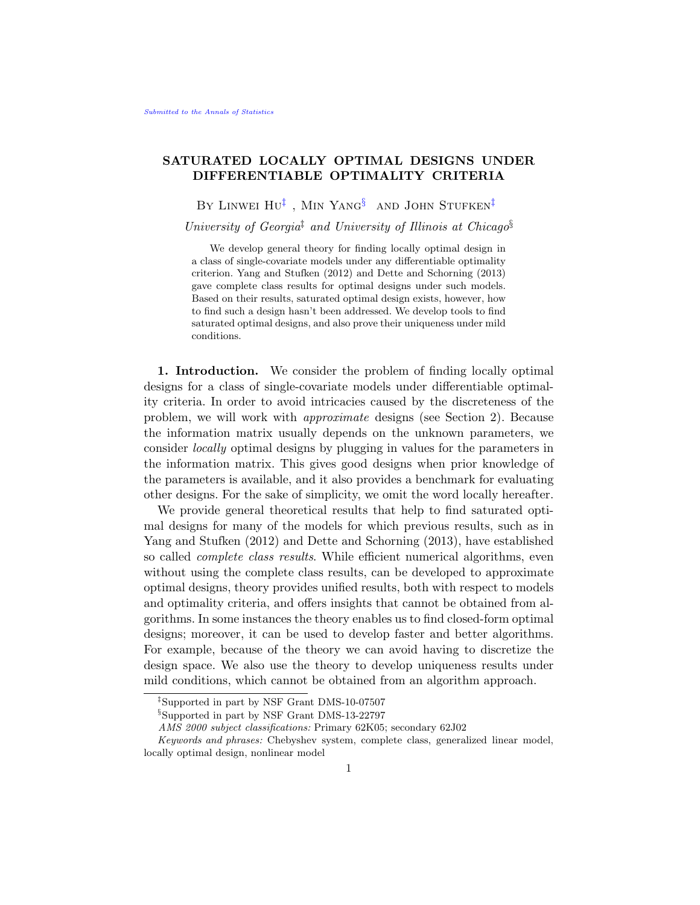# **SATURATED LOCALLY OPTIMAL DESIGNS UNDER DIFFERENTIABLE OPTIMALITY CRITERIA**

By Linwei Hu*‡* , Min Yang*§* and John Stufken*‡*

*University of Georgia‡ and University of Illinois at Chicago§*

We develop general theory for finding locally optimal design in a class of single-covariate models under any differentiable optimality criterion. Yang and Stufken (2012) and Dette and Schorning (2013) gave complete class results for optimal designs under such models. Based on their results, saturated optimal design exists, however, how to find such a design hasn't been addressed. We develop tools to find saturated optimal designs, and also prove their uniqueness under mild conditions.

**1. Introduction.** We consider the problem of finding locally optimal designs for a class of single-covariate models under differentiable optimality criteria. In order to avoid intricacies caused by the discreteness of the problem, we will work with *approximate* designs (see Section 2). Because the information matrix usually depends on the unknown parameters, we consider *locally* optimal designs by plugging in values for the parameters in the information matrix. This gives good designs when prior knowledge of the parameters is available, and it also provides a benchmark for evaluating other designs. For the sake of simplicity, we omit the word locally hereafter.

We provide general theoretical results that help to find saturated optimal designs for many of the models for which previous results, such as in Yang and Stufken (2012) and Dette and Schorning (2013), have established so called *complete class results*. While efficient numerical algorithms, even without using the complete class results, can be developed to approximate optimal designs, theory provides unified results, both with respect to models and optimality criteria, and offers insights that cannot be obtained from algorithms. In some instances the theory enables us to find closed-form optimal designs; moreover, it can be used to develop faster and better algorithms. For example, because of the theory we can avoid having to discretize the design space. We also use the theory to develop uniqueness results under mild conditions, which cannot be obtained from an algorithm approach.

*<sup>‡</sup>*Supported in part by NSF Grant DMS-10-07507

*<sup>§</sup>*Supported in part by NSF Grant DMS-13-22797

*AMS 2000 subject classifications:* Primary 62K05; secondary 62J02

*Keywords and phrases:* Chebyshev system, complete class, generalized linear model, locally optimal design, nonlinear model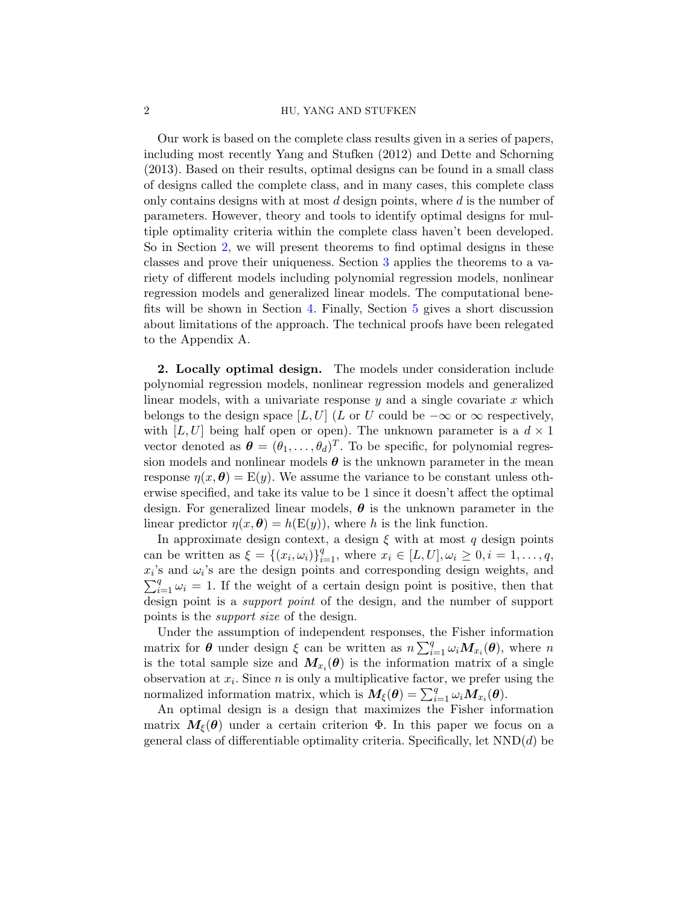### 2 HU, YANG AND STUFKEN

Our work is based on the complete class results given in a series of papers, including most recently Yang and Stufken (2012) and Dette and Schorning (2013). Based on their results, optimal designs can be found in a small class of designs called the complete class, and in many cases, this complete class only contains designs with at most *d* design points, where *d* is the number of parameters. However, theory and tools to identify optimal designs for multiple optimality criteria within the complete class haven't been developed. So in Section 2, we will present theorems to find optimal designs in these classes and prove their uniqueness. Section 3 applies the theorems to a variety of different models including polynomial regression models, nonlinear regression models and generalized linear models. The computational benefits will be shown in Section 4. Finally, Section 5 gives a short discussion about limitations of the approach. The technical proofs have been relegated to the Appendix A.

**2. Locally optimal design.** The models under consideration include polynomial regression models, nonlinear regression models and generalized linear models, with a univariate response *y* and a single covariate *x* which belongs to the design space [*L, U*] (*L* or *U* could be  $-\infty$  or  $\infty$  respectively, with  $[L, U]$  being half open or open). The unknown parameter is a  $d \times 1$ vector denoted as  $\boldsymbol{\theta} = (\theta_1, \dots, \theta_d)^T$ . To be specific, for polynomial regression models and nonlinear models  $\theta$  is the unknown parameter in the mean response  $\eta(x, \theta) = E(y)$ . We assume the variance to be constant unless otherwise specified, and take its value to be 1 since it doesn't affect the optimal design. For generalized linear models, *θ* is the unknown parameter in the linear predictor  $\eta(x, \theta) = h(E(y))$ , where *h* is the link function.

In approximate design context, a design  $\xi$  with at most  $q$  design points can be written as  $\xi = \{(x_i, \omega_i)\}_{i=1}^q$ , where  $x_i \in [L, U], \omega_i \geq 0, i = 1, ..., q$ ,  $x_i$ 's and  $\omega_i$ 's are the design points and corresponding design weights, and  $\sum_{i=1}^{q} \omega_i = 1$ . If the weight of a certain design point is positive, then that design point is a *support point* of the design, and the number of support points is the *support size* of the design.

Under the assumption of independent responses, the Fisher information matrix for  $\theta$  under design  $\xi$  can be written as  $n \sum_{i=1}^{q} \omega_i M_{x_i}(\theta)$ , where *n* is the total sample size and  $M_{x_i}(\theta)$  is the information matrix of a single observation at  $x_i$ . Since  $n$  is only a multiplicative factor, we prefer using the normalized information matrix, which is  $M_{\xi}(\theta) = \sum_{i=1}^{q} \omega_i M_{x_i}(\theta)$ .

An optimal design is a design that maximizes the Fisher information matrix  $M_{\xi}(\theta)$  under a certain criterion  $\Phi$ . In this paper we focus on a general class of differentiable optimality criteria. Specifically, let NND(*d*) be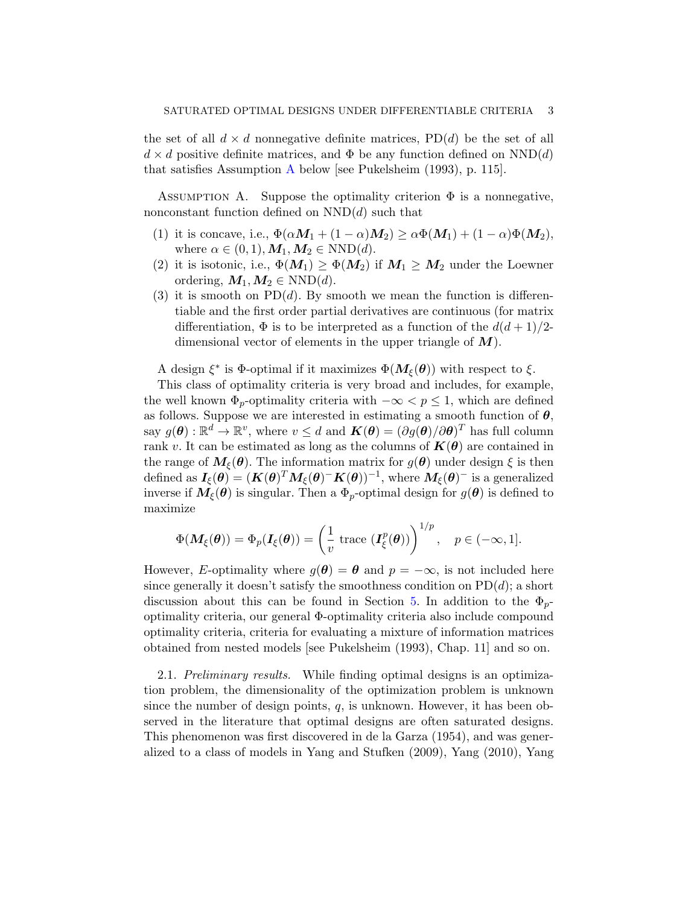the set of all  $d \times d$  nonnegative definite matrices,  $PD(d)$  be the set of all  $d \times d$  positive definite matrices, and  $\Phi$  be any function defined on  $NND(d)$ that satisfies Assumption A below [see Pukelsheim (1993), p. 115].

ASSUMPTION A. Suppose the optimality criterion  $\Phi$  is a nonnegative, nonconstant function defined on NND(*d*) such that

- (1) it is concave, i.e.,  $\Phi(\alpha M_1 + (1 \alpha)M_2) \geq \alpha \Phi(M_1) + (1 \alpha) \Phi(M_2)$ , where  $\alpha \in (0,1), M_1, M_2 \in \text{NND}(d)$ .
- (2) it is isotonic, i.e.,  $\Phi(M_1) \geq \Phi(M_2)$  if  $M_1 \geq M_2$  under the Loewner ordering,  $M_1, M_2 \in \text{NND}(d)$ .
- (3) it is smooth on  $PD(d)$ . By smooth we mean the function is differentiable and the first order partial derivatives are continuous (for matrix differentiation,  $\Phi$  is to be interpreted as a function of the  $d(d+1)/2$ dimensional vector of elements in the upper triangle of *M*).

A design  $\xi^*$  is  $\Phi$ -optimal if it maximizes  $\Phi(M_\xi(\theta))$  with respect to  $\xi$ .

This class of optimality criteria is very broad and includes, for example, the well known  $\Phi_p$ -optimality criteria with  $-\infty < p \leq 1$ , which are defined as follows. Suppose we are interested in estimating a smooth function of  $\theta$ ,  $\exp g(\theta) : \mathbb{R}^d \to \mathbb{R}^v$ , where  $v \leq d$  and  $\boldsymbol{K}(\theta) = (\partial g(\theta)/\partial \theta)^T$  has full column rank *v*. It can be estimated as long as the columns of  $K(\theta)$  are contained in the range of  $M_{\xi}(\theta)$ . The information matrix for  $g(\theta)$  under design  $\xi$  is then  $\det(\bm{H} \cdot \bm{H}) = (\bm{K}(\bm{\theta})^T \bm{M}_{\bm{\xi}}(\bm{\theta}) - \bm{K}(\bm{\theta}))^{-1}, \text{ where } \bm{M}_{\bm{\xi}}(\bm{\theta})^{-1} \text{ is a generalized}.$ inverse if  $M_{\xi}(\theta)$  is singular. Then a  $\Phi_p$ -optimal design for  $g(\theta)$  is defined to maximize

$$
\Phi(\mathbf{M}_{\xi}(\boldsymbol{\theta})) = \Phi_p(\mathbf{I}_{\xi}(\boldsymbol{\theta})) = \left(\frac{1}{v} \text{ trace } (\mathbf{I}_{\xi}^p(\boldsymbol{\theta}))\right)^{1/p}, \quad p \in (-\infty, 1].
$$

However, *E*-optimality where  $g(\theta) = \theta$  and  $p = -\infty$ , is not included here since generally it doesn't satisfy the smoothness condition on  $PD(d)$ ; a short discussion about this can be found in Section 5. In addition to the  $\Phi_p$ optimality criteria, our general Φ-optimality criteria also include compound optimality criteria, criteria for evaluating a mixture of information matrices obtained from nested models [see Pukelsheim (1993), Chap. 11] and so on.

2.1. *Preliminary results.* While finding optimal designs is an optimization problem, the dimensionality of the optimization problem is unknown since the number of design points, *q*, is unknown. However, it has been observed in the literature that optimal designs are often saturated designs. This phenomenon was first discovered in de la Garza (1954), and was generalized to a class of models in Yang and Stufken (2009), Yang (2010), Yang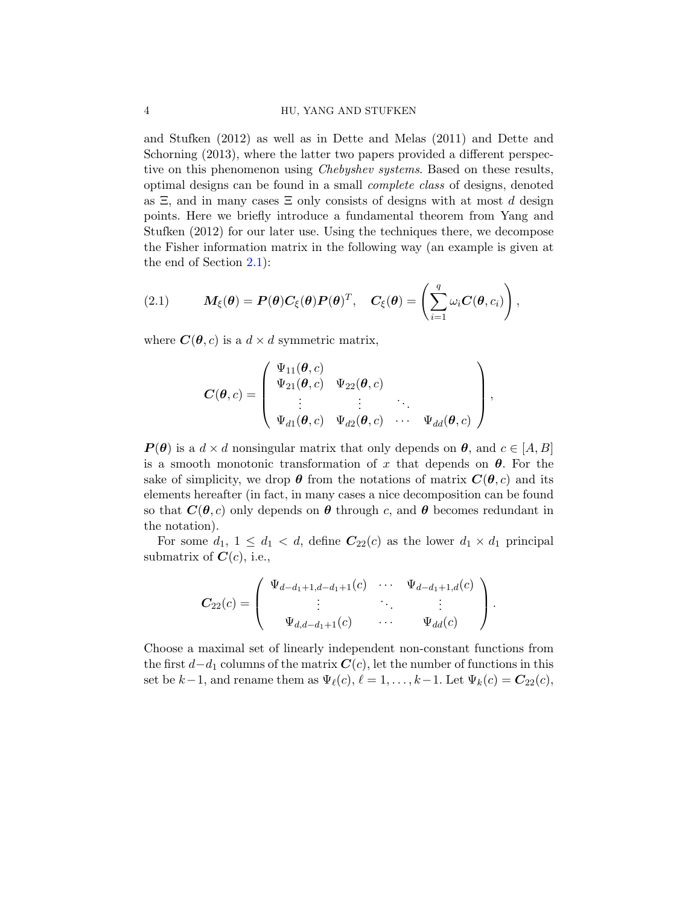## 4 HU, YANG AND STUFKEN

and Stufken (2012) as well as in Dette and Melas (2011) and Dette and Schorning  $(2013)$ , where the latter two papers provided a different perspective on this phenomenon using *Chebyshev systems*. Based on these results, optimal designs can be found in a small *complete class* of designs, denoted as Ξ, and in many cases Ξ only consists of designs with at most *d* design points. Here we briefly introduce a fundamental theorem from Yang and Stufken (2012) for our later use. Using the techniques there, we decompose the Fisher information matrix in the following way (an example is given at the end of Section 2.1):

(2.1) 
$$
M_{\xi}(\boldsymbol{\theta}) = P(\boldsymbol{\theta}) C_{\xi}(\boldsymbol{\theta}) P(\boldsymbol{\theta})^T, \quad C_{\xi}(\boldsymbol{\theta}) = \left(\sum_{i=1}^q \omega_i C(\boldsymbol{\theta}, c_i)\right),
$$

where  $C(\theta, c)$  is a  $d \times d$  symmetric matrix,

$$
\boldsymbol{C}(\boldsymbol{\theta},c)=\left(\begin{array}{cccc} \Psi_{11}(\boldsymbol{\theta},c) & & \\ \Psi_{21}(\boldsymbol{\theta},c) & \Psi_{22}(\boldsymbol{\theta},c) & \\ \vdots & \vdots & \ddots \\ \Psi_{d1}(\boldsymbol{\theta},c) & \Psi_{d2}(\boldsymbol{\theta},c) & \cdots & \Psi_{dd}(\boldsymbol{\theta},c) \end{array}\right),
$$

 $P(\theta)$  is a  $d \times d$  nonsingular matrix that only depends on  $\theta$ , and  $c \in [A, B]$ is a smooth monotonic transformation of  $x$  that depends on  $\theta$ . For the sake of simplicity, we drop  $\theta$  from the notations of matrix  $\mathbf{C}(\theta, c)$  and its elements hereafter (in fact, in many cases a nice decomposition can be found so that  $C(\theta, c)$  only depends on  $\theta$  through c, and  $\theta$  becomes redundant in the notation).

For some  $d_1$ ,  $1 \leq d_1 < d$ , define  $C_{22}(c)$  as the lower  $d_1 \times d_1$  principal submatrix of  $C(c)$ , i.e.,

$$
C_{22}(c) = \begin{pmatrix} \Psi_{d-d_1+1,d-d_1+1}(c) & \cdots & \Psi_{d-d_1+1,d}(c) \\ \vdots & \ddots & \vdots \\ \Psi_{d,d-d_1+1}(c) & \cdots & \Psi_{dd}(c) \end{pmatrix}.
$$

Choose a maximal set of linearly independent non-constant functions from the first *d−d*<sup>1</sup> columns of the matrix *C*(*c*), let the number of functions in this set be  $k-1$ , and rename them as  $\Psi_{\ell}(c)$ ,  $\ell = 1, \ldots, k-1$ . Let  $\Psi_{k}(c) = C_{22}(c)$ ,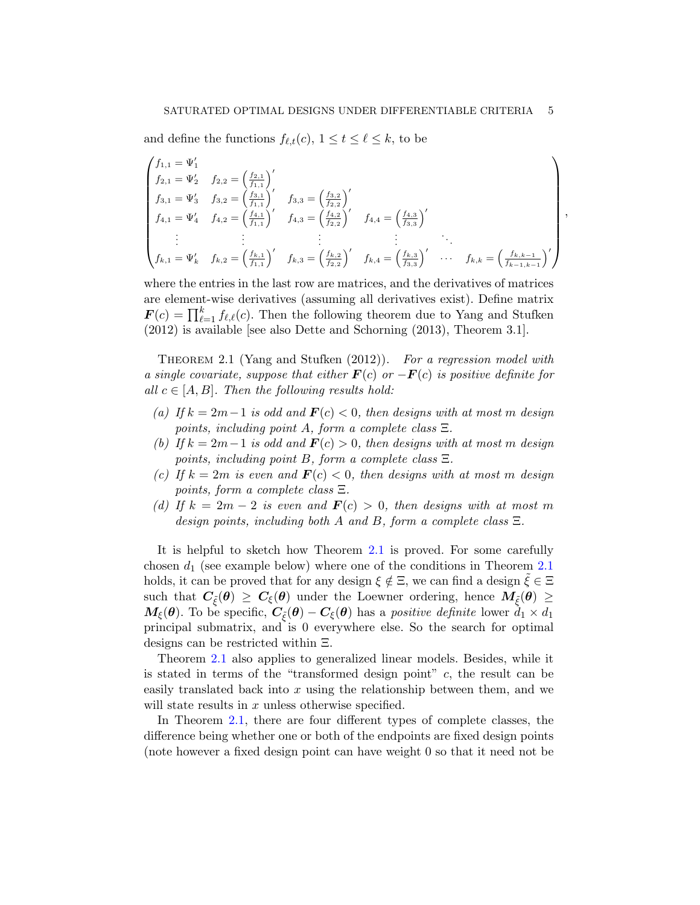and define the functions  $f_{\ell,t}(c)$ ,  $1 \le t \le \ell \le k$ , to be

$$
\begin{pmatrix}\nf_{1,1} = \Psi_1' \\
f_{2,1} = \Psi_2' & f_{2,2} = \left(\frac{f_{2,1}}{f_{1,1}}\right)' \\
f_{3,1} = \Psi_3' & f_{3,2} = \left(\frac{f_{3,1}}{f_{1,1}}\right)' & f_{3,3} = \left(\frac{f_{3,2}}{f_{2,2}}\right)' \\
f_{4,1} = \Psi_4' & f_{4,2} = \left(\frac{f_{4,1}}{f_{1,1}}\right)' & f_{4,3} = \left(\frac{f_{4,2}}{f_{2,2}}\right)' & f_{4,4} = \left(\frac{f_{4,3}}{f_{3,3}}\right)'\n\vdots & \vdots & \vdots & \vdots \\
f_{k,1} = \Psi_k' & f_{k,2} = \left(\frac{f_{k,1}}{f_{1,1}}\right)' & f_{k,3} = \left(\frac{f_{k,2}}{f_{2,2}}\right)' & f_{k,4} = \left(\frac{f_{k,3}}{f_{3,3}}\right)' & \cdots & f_{k,k} = \left(\frac{f_{k,k-1}}{f_{k-1,k-1}}\right)'\n\end{pmatrix}
$$

*,*

where the entries in the last row are matrices, and the derivatives of matrices are element-wise derivatives (assuming all derivatives exist). Define matrix  $\mathbf{F}(c) = \prod_{\ell=1}^k f_{\ell,\ell}(c)$ . Then the following theorem due to Yang and Stufken (2012) is available [see also Dette and Schorning (2013), Theorem 3.1].

Theorem 2.1 (Yang and Stufken (2012)). *For a regression model with a single covariate, suppose that either F*(*c*) *or −F*(*c*) *is positive definite for all*  $c \in [A, B]$ *. Then the following results hold:* 

- *(a) If k* = 2*m−*1 *is odd and F*(*c*) *<* 0*, then designs with at most m design points, including point A, form a complete class* Ξ*.*
- *(b) If k* = 2*m−*1 *is odd and F*(*c*) *>* 0*, then designs with at most m design points, including point B, form a complete class* Ξ*.*
- $f(c)$  *If*  $k = 2m$  *is even and*  $F(c) < 0$ *, then designs with at most m design points, form a complete class* Ξ*.*
- *(d)* If  $k = 2m 2$  *is even and*  $\mathbf{F}(c) > 0$ , then designs with at most m *design points, including both A and B, form a complete class* Ξ*.*

It is helpful to sketch how Theorem 2.1 is proved. For some carefully chosen *d*<sup>1</sup> (see example below) where one of the conditions in Theorem 2.1 holds, it can be proved that for any design  $\xi \notin \Xi$ , we can find a design  $\xi \in \Xi$ such that  $C_{\tilde{\xi}}(\theta) \geq C_{\xi}(\theta)$  under the Loewner ordering, hence  $M_{\tilde{\xi}}(\theta) \geq$  $M_{\xi}(\theta)$ . To be specific,  $C_{\xi}(\theta) - C_{\xi}(\theta)$  has a *positive definite* lower  $d_1 \times d_1$ principal submatrix, and is 0 everywhere else. So the search for optimal designs can be restricted within Ξ.

Theorem 2.1 also applies to generalized linear models. Besides, while it is stated in terms of the "transformed design point" *c*, the result can be easily translated back into *x* using the relationship between them, and we will state results in x unless otherwise specified.

In Theorem 2.1, there are four different types of complete classes, the difference being whether one or both of the endpoints are fixed design points (note however a fixed design point can have weight 0 so that it need not be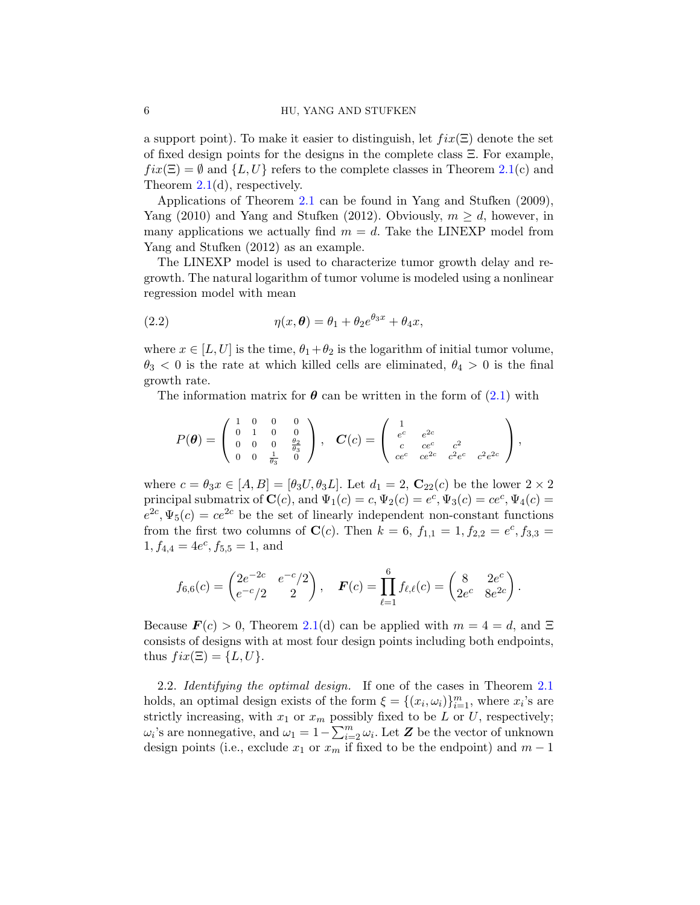a support point). To make it easier to distinguish, let  $fix(\Xi)$  denote the set of fixed design points for the designs in the complete class Ξ. For example,  $fix(\Xi) = \emptyset$  and  $\{L, U\}$  refers to the complete classes in Theorem 2.1(c) and Theorem 2.1(d), respectively.

Applications of Theorem 2.1 can be found in Yang and Stufken (2009), Yang (2010) and Yang and Stufken (2012). Obviously,  $m \geq d$ , however, in many applications we actually find  $m = d$ . Take the LINEXP model from Yang and Stufken (2012) as an example.

The LINEXP model is used to characterize tumor growth delay and regrowth. The natural logarithm of tumor volume is modeled using a nonlinear regression model with mean

(2.2) 
$$
\eta(x,\theta) = \theta_1 + \theta_2 e^{\theta_3 x} + \theta_4 x,
$$

where  $x \in [L, U]$  is the time,  $\theta_1 + \theta_2$  is the logarithm of initial tumor volume,  $\theta_3$  < 0 is the rate at which killed cells are eliminated,  $\theta_4$  > 0 is the final growth rate.

The information matrix for  $\theta$  can be written in the form of  $(2.1)$  with

$$
P(\theta) = \begin{pmatrix} 1 & 0 & 0 & 0 \\ 0 & 1 & 0 & 0 \\ 0 & 0 & 0 & \frac{\theta_2}{\theta_3} \\ 0 & 0 & \frac{1}{\theta_3} & 0 \end{pmatrix}, \quad \mathbf{C}(c) = \begin{pmatrix} 1 & e^{c} & e^{2c} \\ e^{c} & e^{c} & c^{2} \\ c & ce^{c} & c^{2}e^{c} & c^{2}e^{2c} \end{pmatrix},
$$

where  $c = \theta_3 x \in [A, B] = [\theta_3 U, \theta_3 L]$ . Let  $d_1 = 2$ ,  $\mathbb{C}_{22}(c)$  be the lower  $2 \times 2$ principal submatrix of  $\mathbf{C}(c)$ , and  $\Psi_1(c) = c, \Psi_2(c) = e^c, \Psi_3(c) = ce^c, \Psi_4(c) =$  $e^{2c}$ ,  $\Psi_5(c) = ce^{2c}$  be the set of linearly independent non-constant functions from the first two columns of **C**(*c*). Then  $k = 6$ ,  $f_{1,1} = 1, f_{2,2} = e^c, f_{3,3} =$  $1, f_{4,4} = 4e^c, f_{5,5} = 1$ , and

$$
f_{6,6}(c) = \begin{pmatrix} 2e^{-2c} & e^{-c}/2 \\ e^{-c}/2 & 2 \end{pmatrix}, \quad \boldsymbol{F}(c) = \prod_{\ell=1}^6 f_{\ell,\ell}(c) = \begin{pmatrix} 8 & 2e^c \\ 2e^c & 8e^{2c} \end{pmatrix}.
$$

Because  $\mathbf{F}(c) > 0$ , Theorem 2.1(d) can be applied with  $m = 4 = d$ , and  $\Xi$ consists of designs with at most four design points including both endpoints, thus  $fix(\Xi) = \{L, U\}.$ 

2.2. *Identifying the optimal design.* If one of the cases in Theorem 2.1 holds, an optimal design exists of the form  $\xi = \{(x_i, \omega_i)\}_{i=1}^m$ , where  $x_i$ 's are strictly increasing, with  $x_1$  or  $x_m$  possibly fixed to be *L* or *U*, respectively; *ω*<sup>*i*</sup>'s are nonnegative, and  $ω$ <sub>1</sub> = 1 −  $\sum_{i=2}^{m} ω_i$ . Let *Z* be the vector of unknown design points (i.e., exclude  $x_1$  or  $x_m$  if fixed to be the endpoint) and  $m-1$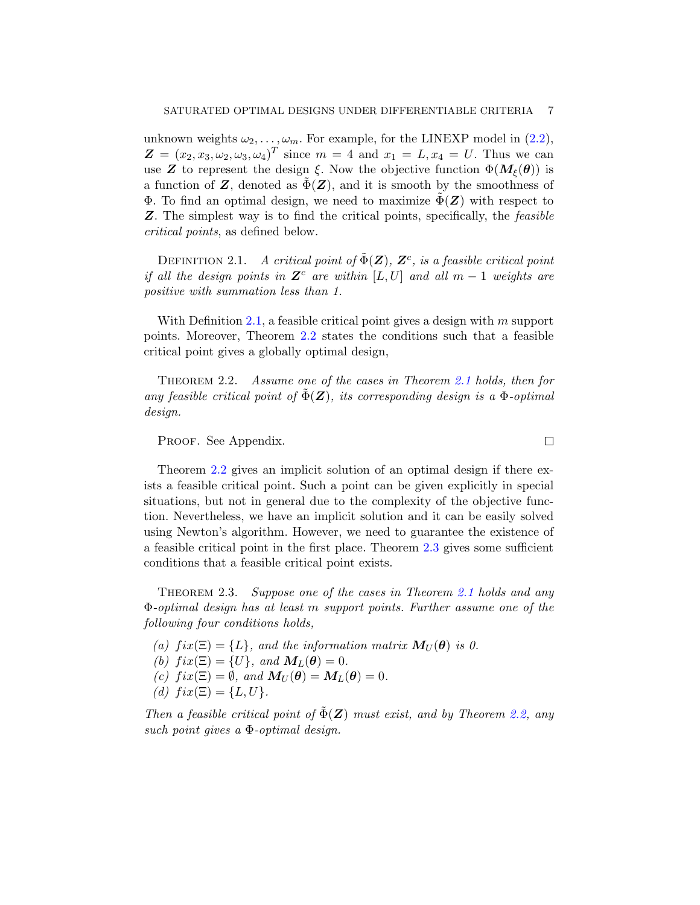unknown weights  $\omega_2, \ldots, \omega_m$ . For example, for the LINEXP model in (2.2),  $Z = (x_2, x_3, \omega_2, \omega_3, \omega_4)^T$  since  $m = 4$  and  $x_1 = L, x_4 = U$ . Thus we can use **Z** to represent the design  $\xi$ . Now the objective function  $\Phi(M_{\xi}(\theta))$  is a function of  $Z$ , denoted as  $\Phi(Z)$ , and it is smooth by the smoothness of Φ. To find an optimal design, we need to maximize  $Φ(Z)$  with respect to *Z*. The simplest way is to find the critical points, specifically, the *feasible critical points*, as defined below.

DEFINITION 2.1. *A critical point of*  $\tilde{\Phi}(\mathbf{Z})$ ,  $\mathbf{Z}^c$ , *is a feasible critical point if all the design points in*  $\mathbf{Z}^c$  *are within* [ $L, U$ ] *and all*  $m - 1$  *weights are positive with summation less than 1.*

With Definition 2.1, a feasible critical point gives a design with *m* support points. Moreover, Theorem 2.2 states the conditions such that a feasible critical point gives a globally optimal design,

Theorem 2.2. *Assume one of the cases in Theorem 2.1 holds, then for any feasible critical point of*  $\tilde{\Phi}(\mathbf{Z})$ *, its corresponding design is a*  $\Phi$ *-optimal design.*

PROOF. See Appendix.

Theorem 2.2 gives an implicit solution of an optimal design if there exists a feasible critical point. Such a point can be given explicitly in special situations, but not in general due to the complexity of the objective function. Nevertheless, we have an implicit solution and it can be easily solved using Newton's algorithm. However, we need to guarantee the existence of a feasible critical point in the first place. Theorem 2.3 gives some sufficient conditions that a feasible critical point exists.

Theorem 2.3. *Suppose one of the cases in Theorem 2.1 holds and any* Φ*-optimal design has at least m support points. Further assume one of the following four conditions holds,*

- *(a)*  $fix(\Xi) = \{L\}$ , and the information matrix  $M_U(\theta)$  is 0.
- *(b)*  $fix(\Xi) = \{U\}$ *, and*  $M_L(\theta) = 0$ *.*
- $f(c)$   $fix(\Xi) = \emptyset$ , and  $M_U(\theta) = M_L(\theta) = 0$ .
- $(d) \, fix(\Xi) = \{L, U\}.$

*Then a feasible critical point of*  $\tilde{\Phi}(\mathbf{Z})$  *must exist, and by Theorem 2.2, any such point gives a* Φ*-optimal design.*

 $\Box$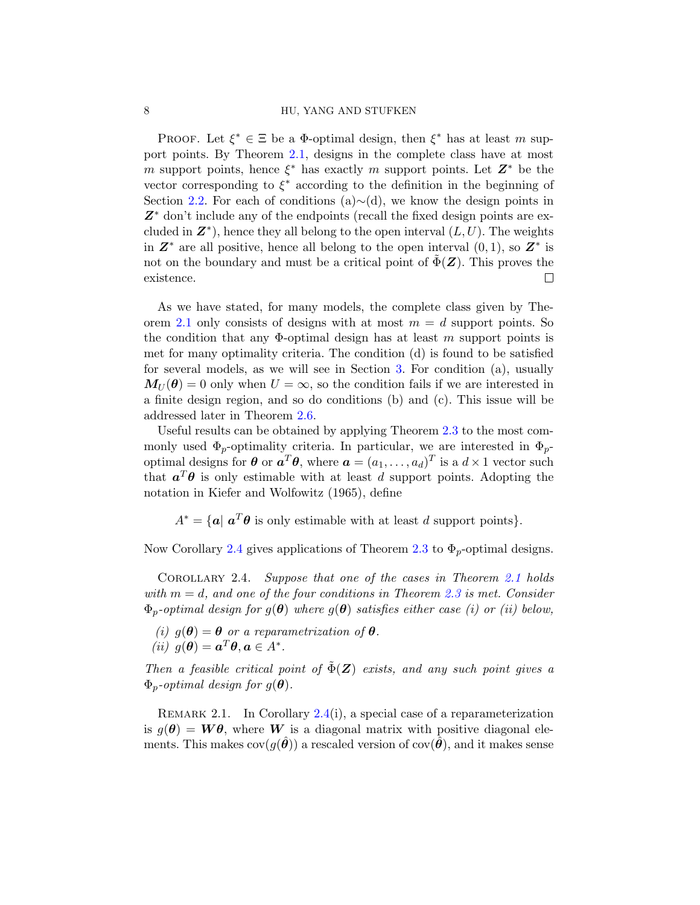#### 8 HU, YANG AND STUFKEN

PROOF. Let  $\xi^* \in \Xi$  be a  $\Phi$ -optimal design, then  $\xi^*$  has at least *m* support points. By Theorem 2.1, designs in the complete class have at most *m* support points, hence *ξ ∗* has exactly *m* support points. Let *Z∗* be the vector corresponding to *ξ ∗* according to the definition in the beginning of Section 2.2. For each of conditions (a)*∼*(d), we know the design points in *Z∗* don't include any of the endpoints (recall the fixed design points are excluded in  $\mathbf{Z}^*$ ), hence they all belong to the open interval  $(L, U)$ . The weights in  $\mathbf{Z}^*$  are all positive, hence all belong to the open interval  $(0,1)$ , so  $\mathbf{Z}^*$  is not on the boundary and must be a critical point of  $\Phi(\mathbf{Z})$ . This proves the existence. П

As we have stated, for many models, the complete class given by Theorem 2.1 only consists of designs with at most  $m = d$  support points. So the condition that any Φ-optimal design has at least *m* support points is met for many optimality criteria. The condition (d) is found to be satisfied for several models, as we will see in Section 3. For condition (a), usually  $M_{U}(\theta) = 0$  only when  $U = \infty$ , so the condition fails if we are interested in a finite design region, and so do conditions (b) and (c). This issue will be addressed later in Theorem 2.6.

Useful results can be obtained by applying Theorem 2.3 to the most commonly used  $\Phi_p$ -optimality criteria. In particular, we are interested in  $\Phi_p$ optimal designs for  $\theta$  or  $a^T\theta$ , where  $a = (a_1, \ldots, a_d)^T$  is a  $d \times 1$  vector such that  $a^T\theta$  is only estimable with at least *d* support points. Adopting the notation in Kiefer and Wolfowitz (1965), define

 $A^* = \{a \mid a^T \theta \text{ is only estimate with at least } d \text{ support points}\}.$ 

Now Corollary 2.4 gives applications of Theorem 2.3 to  $\Phi_p$ -optimal designs.

Corollary 2.4. *Suppose that one of the cases in Theorem 2.1 holds with m* = *d, and one of the four conditions in Theorem 2.3 is met. Consider*  $\Phi_p$ -optimal design for  $g(\theta)$  where  $g(\theta)$  satisfies either case (i) or (ii) below,

*(i)*  $q(\theta) = \theta$  *or a reparametrization of*  $\theta$ *.*  $(iii)$   $g(\theta) = \mathbf{a}^T \theta, \mathbf{a} \in A^*.$ 

*Then a feasible critical point of*  $\tilde{\Phi}(Z)$  *exists, and any such point gives a*  $\Phi_p$ *-optimal design for*  $g(\theta)$ *.* 

REMARK 2.1. In Corollary  $2.4(i)$ , a special case of a reparameterization is  $g(\theta) = W\theta$ , where W is a diagonal matrix with positive diagonal elements. This makes  $cov(q(\hat{\theta}))$  a rescaled version of  $cov(\hat{\theta})$ , and it makes sense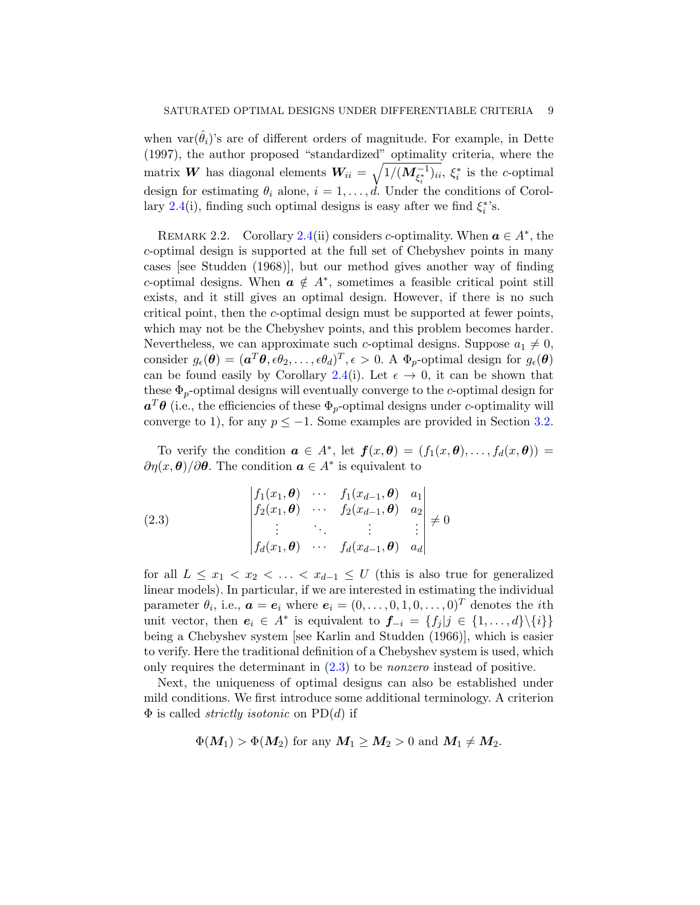when var $(\hat{\theta}_i)$ 's are of different orders of magnitude. For example, in Dette (1997), the author proposed "standardized" optimality criteria, where the matrix *W* has diagonal elements  $W_{ii} = \sqrt{1/(M_{\xi_i^*}^{-1})_{ii}}, \xi_i^*$  is the *c*-optimal design for estimating  $\theta_i$  alone,  $i = 1, \ldots, d$ . Under the conditions of Corollary 2.4(i), finding such optimal designs is easy after we find  $\xi_i^*$ 's.

REMARK 2.2. Corollary 2.4(ii) considers *c*-optimality. When  $a \in A^*$ , the *c*-optimal design is supported at the full set of Chebyshev points in many cases [see Studden (1968)], but our method gives another way of finding *c*-optimal designs. When  $a \notin A^*$ , sometimes a feasible critical point still exists, and it still gives an optimal design. However, if there is no such critical point, then the *c*-optimal design must be supported at fewer points, which may not be the Chebyshev points, and this problem becomes harder. Nevertheless, we can approximate such *c*-optimal designs. Suppose  $a_1 \neq 0$ , consider  $g_{\epsilon}(\theta) = (\boldsymbol{a}^T \theta, \epsilon \theta_2, \dots, \epsilon \theta_d)^T, \epsilon > 0$ . A  $\Phi_p$ -optimal design for  $g_{\epsilon}(\theta)$ can be found easily by Corollary 2.4(i). Let  $\epsilon \to 0$ , it can be shown that these Φ*p*-optimal designs will eventually converge to the *c*-optimal design for  $a^T \theta$  (i.e., the efficiencies of these  $\Phi_p$ -optimal designs under *c*-optimality will converge to 1), for any  $p \leq -1$ . Some examples are provided in Section 3.2.

To verify the condition  $a \in A^*$ , let  $f(x, \theta) = (f_1(x, \theta), \ldots, f_d(x, \theta)) =$ *∂η*(*x*, *θ*)/∂*θ*. The condition  $a \in A^*$  is equivalent to

(2.3)  

$$
\begin{vmatrix} f_1(x_1, \boldsymbol{\theta}) & \cdots & f_1(x_{d-1}, \boldsymbol{\theta}) & a_1 \\ f_2(x_1, \boldsymbol{\theta}) & \cdots & f_2(x_{d-1}, \boldsymbol{\theta}) & a_2 \\ \vdots & \vdots & \ddots & \vdots & \vdots \\ f_d(x_1, \boldsymbol{\theta}) & \cdots & f_d(x_{d-1}, \boldsymbol{\theta}) & a_d \end{vmatrix} \neq 0
$$

for all  $L \leq x_1 < x_2 < \ldots < x_{d-1} \leq U$  (this is also true for generalized linear models). In particular, if we are interested in estimating the individual parameter  $\theta_i$ , i.e.,  $\boldsymbol{a} = \boldsymbol{e}_i$  where  $\boldsymbol{e}_i = (0, \ldots, 0, 1, 0, \ldots, 0)^T$  denotes the *i*th unit vector, then  $e_i \in A^*$  is equivalent to  $f_{-i} = \{f_j | j \in \{1, ..., d\} \setminus \{i\}\}\$ being a Chebyshev system [see Karlin and Studden (1966)], which is easier to verify. Here the traditional definition of a Chebyshev system is used, which only requires the determinant in (2.3) to be *nonzero* instead of positive.

Next, the uniqueness of optimal designs can also be established under mild conditions. We first introduce some additional terminology. A criterion Φ is called *strictly isotonic* on PD(*d*) if

$$
\Phi(M_1) > \Phi(M_2) \text{ for any } M_1 \geq M_2 > 0 \text{ and } M_1 \neq M_2.
$$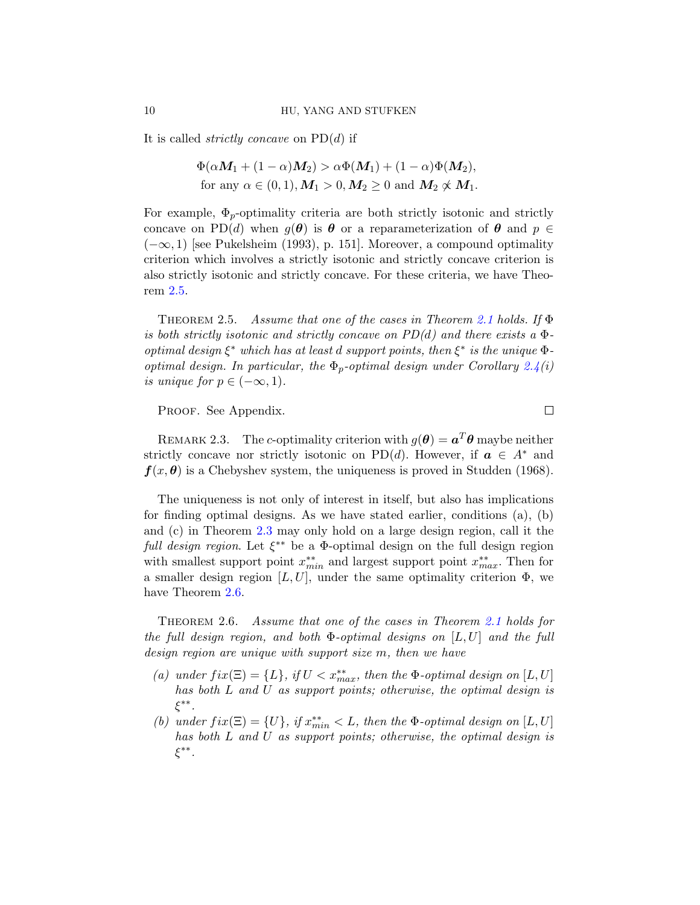It is called *strictly concave* on PD(*d*) if

$$
\Phi(\alpha M_1 + (1 - \alpha)M_2) > \alpha \Phi(M_1) + (1 - \alpha)\Phi(M_2),
$$
  
for any  $\alpha \in (0, 1), M_1 > 0, M_2 \ge 0$  and  $M_2 \not\propto M_1$ .

For example,  $\Phi_p$ -optimality criteria are both strictly isotonic and strictly concave on PD(*d*) when  $q(\theta)$  is  $\theta$  or a reparameterization of  $\theta$  and  $p \in$ (*−∞,* 1) [see Pukelsheim (1993), p. 151]. Moreover, a compound optimality criterion which involves a strictly isotonic and strictly concave criterion is also strictly isotonic and strictly concave. For these criteria, we have Theorem 2.5.

Theorem 2.5. *Assume that one of the cases in Theorem 2.1 holds. If* Φ *is both strictly isotonic and strictly concave on PD(d) and there exists a* Φ*optimal design ξ ∗ which has at least d support points, then ξ ∗ is the unique* Φ*optimal design. In particular, the* Φ*p-optimal design under Corollary 2.4(i) is unique for*  $p \in (-\infty, 1)$ *.* 

PROOF. See Appendix.

 $\Box$ 

REMARK 2.3. The *c*-optimality criterion with  $g(\theta) = a^T \theta$  maybe neither strictly concave nor strictly isotonic on PD(*d*). However, if  $a \in A^*$  and  $f(x, \theta)$  is a Chebyshev system, the uniqueness is proved in Studden (1968).

The uniqueness is not only of interest in itself, but also has implications for finding optimal designs. As we have stated earlier, conditions (a), (b) and (c) in Theorem 2.3 may only hold on a large design region, call it the *full design region*. Let *ξ ∗∗* be a Φ-optimal design on the full design region with smallest support point *x ∗∗ min* and largest support point *x ∗∗ max*. Then for a smaller design region  $[L, U]$ , under the same optimality criterion  $\Phi$ , we have Theorem 2.6.

Theorem 2.6. *Assume that one of the cases in Theorem 2.1 holds for the full design region, and both* Φ*-optimal designs on* [*L, U*] *and the full design region are unique with support size m, then we have*

- *(a) under*  $fix(\Xi) = \{L\}$ *, if*  $U < x_{max}^{**}$ *, then the*  $\Phi$ *-optimal design on*  $[L, U]$ *has both L and U as support points; otherwise, the optimal design is ξ ∗∗ .*
- *(b) under*  $fix(\Xi) = \{U\}$ *, if*  $x_{min}^{**} < L$ *, then the*  $\Phi$ *-optimal design on* [*L, U*] *has both L and U as support points; otherwise, the optimal design is ξ ∗∗ .*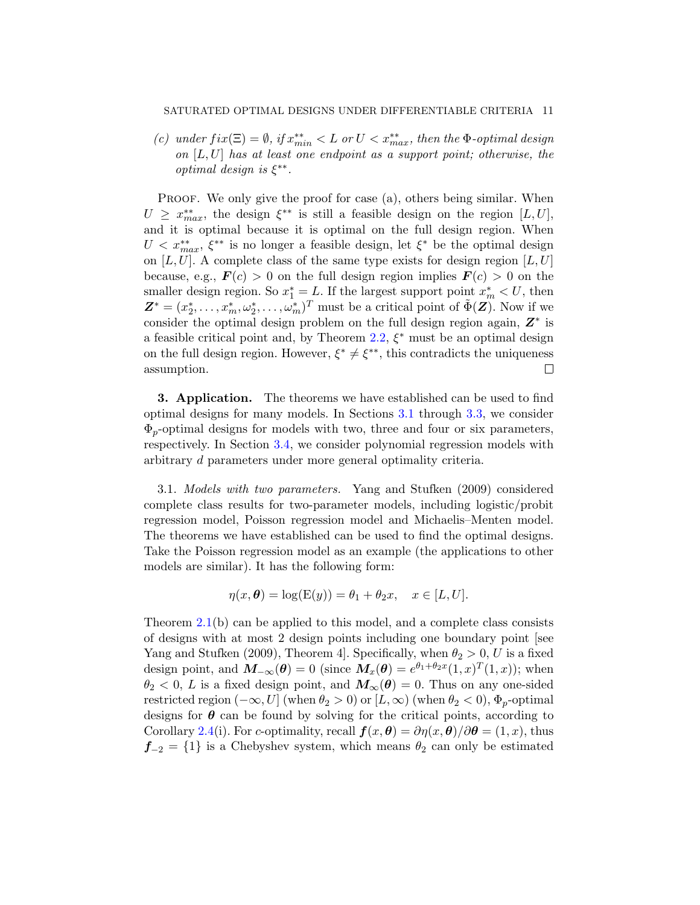#### SATURATED OPTIMAL DESIGNS UNDER DIFFERENTIABLE CRITERIA 11

*(c) under*  $fix(\Xi) = \emptyset$ *, if*  $x_{min}^{**} < L$  *or*  $U < x_{max}^{**}$ *, then the*  $\Phi$ *-optimal design on* [*L, U*] *has at least one endpoint as a support point; otherwise, the optimal design is ξ ∗∗ .*

PROOF. We only give the proof for case (a), others being similar. When  $U \geq x_{max}^{**}$ , the design  $\xi^{**}$  is still a feasible design on the region [*L*, *U*], and it is optimal because it is optimal on the full design region. When  $U < x^{**}_{max}$ ,  $\xi^{**}$  is no longer a feasible design, let  $\xi^*$  be the optimal design on  $[L, U]$ . A complete class of the same type exists for design region  $[L, U]$ because, e.g.,  $\mathbf{F}(c) > 0$  on the full design region implies  $\mathbf{F}(c) > 0$  on the smaller design region. So  $x_1^* = L$ . If the largest support point  $x_m^* < U$ , then  $\mathbf{Z}^* = (x_2^*, \ldots, x_m^*, \omega_2^*, \ldots, \omega_m^*)^T$  must be a critical point of  $\tilde{\Phi}(\mathbf{Z})$ . Now if we consider the optimal design problem on the full design region again, *Z∗* is a feasible critical point and, by Theorem 2.2, *ξ ∗* must be an optimal design on the full design region. However,  $\xi^* \neq \xi^{**}$ , this contradicts the uniqueness assumption.  $\Box$ 

**3. Application.** The theorems we have established can be used to find optimal designs for many models. In Sections 3.1 through 3.3, we consider Φ*p*-optimal designs for models with two, three and four or six parameters, respectively. In Section 3.4, we consider polynomial regression models with arbitrary *d* parameters under more general optimality criteria.

3.1. *Models with two parameters.* Yang and Stufken (2009) considered complete class results for two-parameter models, including logistic/probit regression model, Poisson regression model and Michaelis–Menten model. The theorems we have established can be used to find the optimal designs. Take the Poisson regression model as an example (the applications to other models are similar). It has the following form:

$$
\eta(x,\boldsymbol{\theta}) = \log(\mathcal{E}(y)) = \theta_1 + \theta_2 x, \quad x \in [L, U].
$$

Theorem 2.1(b) can be applied to this model, and a complete class consists of designs with at most 2 design points including one boundary point [see Yang and Stufken (2009), Theorem 4. Specifically, when  $\theta_2 > 0$ , *U* is a fixed design point, and  $M_{-\infty}(\theta) = 0$  (since  $M_x(\theta) = e^{\theta_1 + \theta_2 x} (1, x)^T (1, x)$ ); when  $\theta_2$  < 0, *L* is a fixed design point, and  $M_\infty(\theta) = 0$ . Thus on any one-sided restricted region  $(-\infty, U]$  (when  $\theta_2 > 0$ ) or  $[L, \infty)$  (when  $\theta_2 < 0$ ),  $\Phi_p$ -optimal designs for  $\theta$  can be found by solving for the critical points, according to Corollary 2.4(i). For *c*-optimality, recall  $f(x, \theta) = \partial \eta(x, \theta)/\partial \theta = (1, x)$ , thus  $f_{-2} = \{1\}$  is a Chebyshev system, which means  $\theta_2$  can only be estimated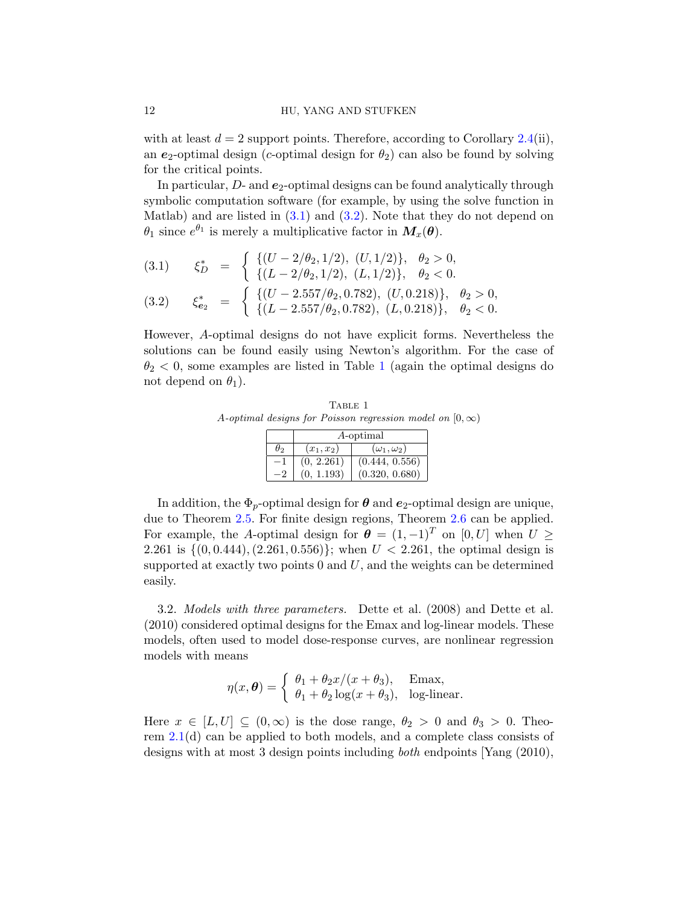with at least  $d = 2$  support points. Therefore, according to Corollary 2.4(ii), an  $e_2$ -optimal design (*c*-optimal design for  $\theta_2$ ) can also be found by solving for the critical points.

In particular,  $D$ - and  $e_2$ -optimal designs can be found analytically through symbolic computation software (for example, by using the solve function in Matlab) and are listed in  $(3.1)$  and  $(3.2)$ . Note that they do not depend on  $\theta_1$  since  $e^{\theta_1}$  is merely a multiplicative factor in  $M_x(\theta)$ .

$$
(3.1) \quad \xi_D^* = \begin{cases} \{(U - 2/\theta_2, 1/2), (U, 1/2)\}, & \theta_2 > 0, \\ \{(L - 2/\theta_2, 1/2), (L, 1/2)\}, & \theta_2 < 0. \end{cases}
$$
  

$$
(3.2) \quad \xi_{e_2}^* = \begin{cases} \{(U - 2.557/\theta_2, 0.782), (U, 0.218)\}, & \theta_2 > 0, \\ \{(U - 2.557/\theta_2, 0.782), (U, 0.218)\}, & \theta_2 > 0, \end{cases}
$$

$$
(3.2) \quad \xi_{e_2}^* \;\; = \;\; \left\{ \begin{array}{ll} ((\circ \;\; 2.557/\theta_2, 0.782), \; (U, 0.216)) \, , \; \theta_2 < 0. \\ \{ (L-2.557/\theta_2, 0.782), \; (L, 0.218) \}, \; \theta_2 < 0. \end{array} \right.
$$

However, *A*-optimal designs do not have explicit forms. Nevertheless the solutions can be found easily using Newton's algorithm. For the case of  $\theta_2$  < 0, some examples are listed in Table 1 (again the optimal designs do not depend on  $\theta_1$ ).

TABLE 1 *A*-*optimal designs for Poisson regression model on*  $[0, \infty)$ 

|    | A-optimal    |                        |  |  |  |
|----|--------------|------------------------|--|--|--|
| θ0 | $(x_1, x_2)$ | $(\omega_1, \omega_2)$ |  |  |  |
|    | (0, 2.261)   | (0.444, 0.556)         |  |  |  |
|    | (0, 1.193)   | (0.320, 0.680)         |  |  |  |

In addition, the  $\Phi_p$ -optimal design for  $\theta$  and  $e_2$ -optimal design are unique, due to Theorem 2.5. For finite design regions, Theorem 2.6 can be applied. For example, the *A*-optimal design for  $\theta = (1, -1)^T$  on  $[0, U]$  when  $U \geq$ 2*.*261 is *{*(0*,* 0*.*444)*,*(2*.*261*,* 0*.*556)*}*; when *U <* 2*.*261, the optimal design is supported at exactly two points 0 and *U*, and the weights can be determined easily.

3.2. *Models with three parameters.* Dette et al. (2008) and Dette et al. (2010) considered optimal designs for the Emax and log-linear models. These models, often used to model dose-response curves, are nonlinear regression models with means

$$
\eta(x,\theta) = \begin{cases} \theta_1 + \theta_2 x/(x+\theta_3), & \text{Emax}, \\ \theta_1 + \theta_2 \log(x+\theta_3), & \text{log-linear}. \end{cases}
$$

Here  $x \in [L, U] \subseteq (0, \infty)$  is the dose range,  $\theta_2 > 0$  and  $\theta_3 > 0$ . Theorem 2.1(d) can be applied to both models, and a complete class consists of designs with at most 3 design points including *both* endpoints [Yang (2010),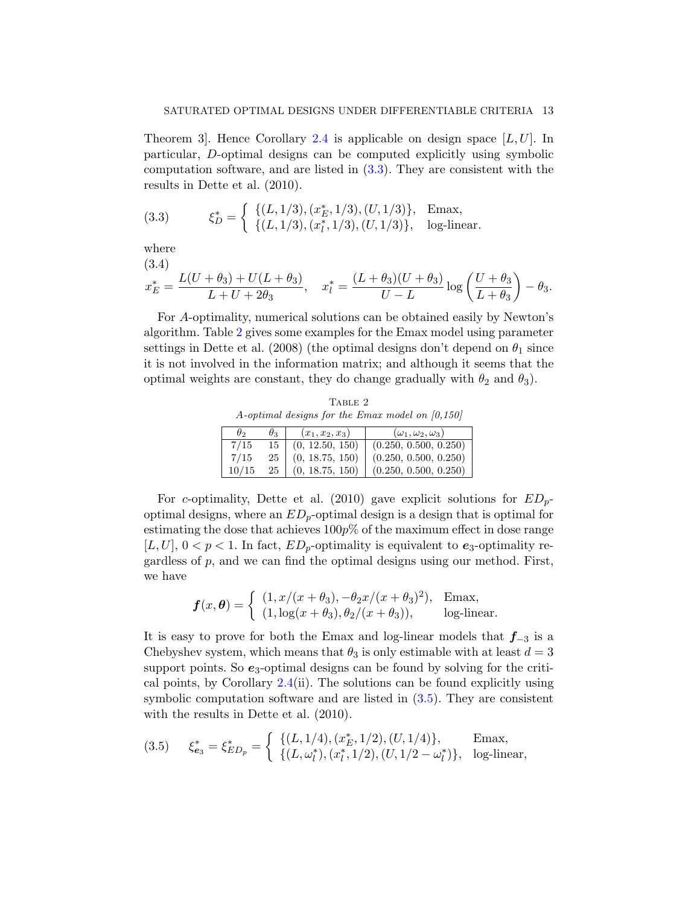Theorem 3]. Hence Corollary 2.4 is applicable on design space [*L, U*]. In particular, *D*-optimal designs can be computed explicitly using symbolic computation software, and are listed in  $(3.3)$ . They are consistent with the results in Dette et al. (2010).

(3.3) 
$$
\xi_D^* = \begin{cases} \{(L, 1/3), (x_E^*, 1/3), (U, 1/3)\}, & \text{Emax}, \\ \{(L, 1/3), (x_l^*, 1/3), (U, 1/3)\}, & \text{log-linear}. \end{cases}
$$

where

(3.4)  

$$
x_E^* = \frac{L(U + \theta_3) + U(L + \theta_3)}{L + U + 2\theta_3}, \quad x_I^* = \frac{(L + \theta_3)(U + \theta_3)}{U - L} \log\left(\frac{U + \theta_3}{L + \theta_3}\right) - \theta_3.
$$

For *A*-optimality, numerical solutions can be obtained easily by Newton's algorithm. Table 2 gives some examples for the Emax model using parameter settings in Dette et al. (2008) (the optimal designs don't depend on  $\theta_1$  since it is not involved in the information matrix; and although it seems that the optimal weights are constant, they do change gradually with  $\theta_2$  and  $\theta_3$ ).

TABLE 2 *A-optimal designs for the Emax model on [0,150]*

| $\theta_2$ | $\theta_3$ | $(x_1, x_2, x_3)$ | $(\omega_1, \omega_2, \omega_3)$ |
|------------|------------|-------------------|----------------------------------|
| 7/15       | 15         | (0, 12.50, 150)   | (0.250, 0.500, 0.250)            |
| 7/15       | 25         | (0, 18.75, 150)   | (0.250, 0.500, 0.250)            |
| 10/15      | 25         | (0, 18.75, 150)   | (0.250, 0.500, 0.250)            |

For *c*-optimality, Dette et al. (2010) gave explicit solutions for *EDp*optimal designs, where an *EDp*-optimal design is a design that is optimal for estimating the dose that achieves 100*p*% of the maximum effect in dose range [ $L, U$ ],  $0 < p < 1$ . In fact,  $ED_p$ -optimality is equivalent to  $e_3$ -optimality regardless of *p*, and we can find the optimal designs using our method. First, we have

$$
\boldsymbol{f}(x,\boldsymbol{\theta}) = \begin{cases} (1, x/(x+\theta_3), -\theta_2 x/(x+\theta_3)^2), & \text{Emax}, \\ (1, \log(x+\theta_3), \theta_2/(x+\theta_3)), & \text{log-linear}. \end{cases}
$$

It is easy to prove for both the Emax and log-linear models that *f−*<sup>3</sup> is a Chebyshev system, which means that  $\theta_3$  is only estimable with at least  $d = 3$ support points. So  $e_3$ -optimal designs can be found by solving for the critical points, by Corollary 2.4(ii). The solutions can be found explicitly using symbolic computation software and are listed in (3.5). They are consistent with the results in Dette et al. (2010).

(3.5) 
$$
\xi_{\mathbf{e}_3}^* = \xi_{ED_p}^* = \begin{cases} \{(L, 1/4), (x_E^*, 1/2), (U, 1/4)\}, & \text{Emax}, \\ \{(L, \omega_l^*), (x_l^*, 1/2), (U, 1/2 - \omega_l^*)\}, & \text{log-linear}, \end{cases}
$$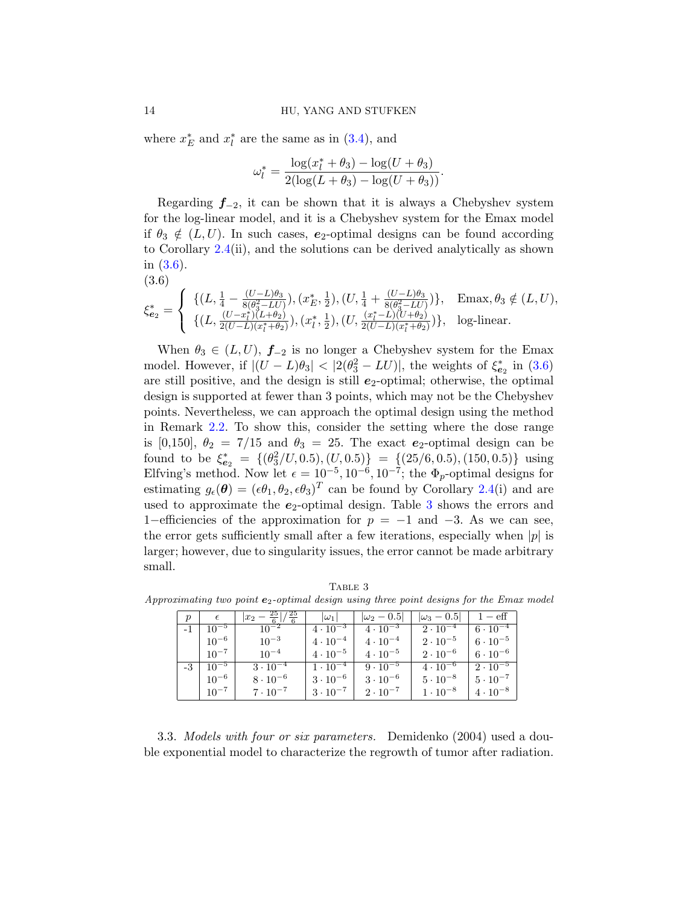where  $x_E^*$  and  $x_l^*$  are the same as in (3.4), and

$$
\omega_l^* = \frac{\log(x_l^* + \theta_3) - \log(U + \theta_3)}{2(\log(L + \theta_3) - \log(U + \theta_3))}.
$$

Regarding *f−*2, it can be shown that it is always a Chebyshev system for the log-linear model, and it is a Chebyshev system for the Emax model if  $\theta_3 \notin (L, U)$ . In such cases,  $e_2$ -optimal designs can be found according to Corollary 2.4(ii), and the solutions can be derived analytically as shown in (3.6).

$$
(3.6)
$$

$$
\xi_{e_2}^* = \begin{cases} \{ (L, \frac{1}{4} - \frac{(U - L)\theta_3}{8(\theta_3^2 - LU)}), (x_E^*, \frac{1}{2}), (U, \frac{1}{4} + \frac{(U - L)\theta_3}{8(\theta_3^2 - LU)}) \}, & \text{Emax}, \theta_3 \notin (L, U), \\ \{ (L, \frac{(U - x_l^*)(L + \theta_2)}{2(U - L)(x_l^* + \theta_2)}), (x_l^*, \frac{1}{2}), (U, \frac{(x_l^* - L)(U + \theta_2)}{2(U - L)(x_l^* + \theta_2)}) \}, & \text{log-linear.} \end{cases}
$$

When  $\theta_3 \in (L, U)$ ,  $f_{-2}$  is no longer a Chebyshev system for the Emax model. However, if  $|(U - L)\theta_3| < |2(\theta_3^2 - LU)|$ , the weights of  $\xi_{\mathbf{e}_2}^*$  in (3.6) are still positive, and the design is still  $e_2$ -optimal; otherwise, the optimal design is supported at fewer than 3 points, which may not be the Chebyshev points. Nevertheless, we can approach the optimal design using the method in Remark 2.2. To show this, consider the setting where the dose range is [0,150],  $\theta_2 = 7/15$  and  $\theta_3 = 25$ . The exact  $e_2$ -optimal design can be found to be  $\xi_{e_2}^* = \{(\theta_3^2/U, 0.5), (U, 0.5)\} = \{(25/6, 0.5), (150, 0.5)\}$  using Elfving's method. Now let  $\epsilon = 10^{-5}$ ,  $10^{-6}$ ,  $10^{-7}$ ; the  $\Phi_p$ -optimal designs for estimating  $g_{\epsilon}(\theta) = (\epsilon \theta_1, \theta_2, \epsilon \theta_3)^T$  can be found by Corollary 2.4(i) and are used to approximate the  $e_2$ -optimal design. Table  $3$  shows the errors and 1*−*efficiencies of the approximation for *p* = *−*1 and *−*3. As we can see, the error gets sufficiently small after a few iterations, especially when *|p|* is larger; however, due to singularity issues, the error cannot be made arbitrary small.

Table 3

| $p_{-}$ | $\epsilon$       | $\frac{25}{6}$ / $\frac{25}{6}$ | $ \omega_1 $      | $ \omega_2 - 0.5 $ | $ \omega_3-0.5 $  | $1 - \text{eff}$  |
|---------|------------------|---------------------------------|-------------------|--------------------|-------------------|-------------------|
|         | $-1 \pm 10^{-5}$ | $10^{-2}$                       | $4 \cdot 10^{-3}$ | $4 \cdot 10^{-3}$  | $2 \cdot 10^{-4}$ | $6\cdot10^{-4}$   |
|         | $10^{-6}$        | $10^{-3}$                       | $4 \cdot 10^{-4}$ | $4 \cdot 10^{-4}$  | $2 \cdot 10^{-5}$ | $6 \cdot 10^{-5}$ |
|         | $10^{-7}$        | $10^{-4}$                       | $4 \cdot 10^{-5}$ | $4 \cdot 10^{-5}$  | $2 \cdot 10^{-6}$ | $6\cdot10^{-6}$   |
|         | $-3 \pm 10^{-5}$ | $3 \cdot 10^{-4}$               | $1\cdot10^{-4}$   | $9 \cdot 10^{-5}$  | $4 \cdot 10^{-6}$ | $2 \cdot 10^{-5}$ |
|         | $10^{-6}$        | $8 \cdot 10^{-6}$               | $3 \cdot 10^{-6}$ | $3 \cdot 10^{-6}$  | $5 \cdot 10^{-8}$ | $5 \cdot 10^{-7}$ |
|         | $10^{-7}$        | $7 \cdot 10^{-7}$               | $3\cdot10^{-7}$   | $2 \cdot 10^{-7}$  | $1 \cdot 10^{-8}$ | $4 \cdot 10^{-8}$ |

*Approximating two point e*2*-optimal design using three point designs for the Emax model*

3.3. *Models with four or six parameters.* Demidenko (2004) used a double exponential model to characterize the regrowth of tumor after radiation.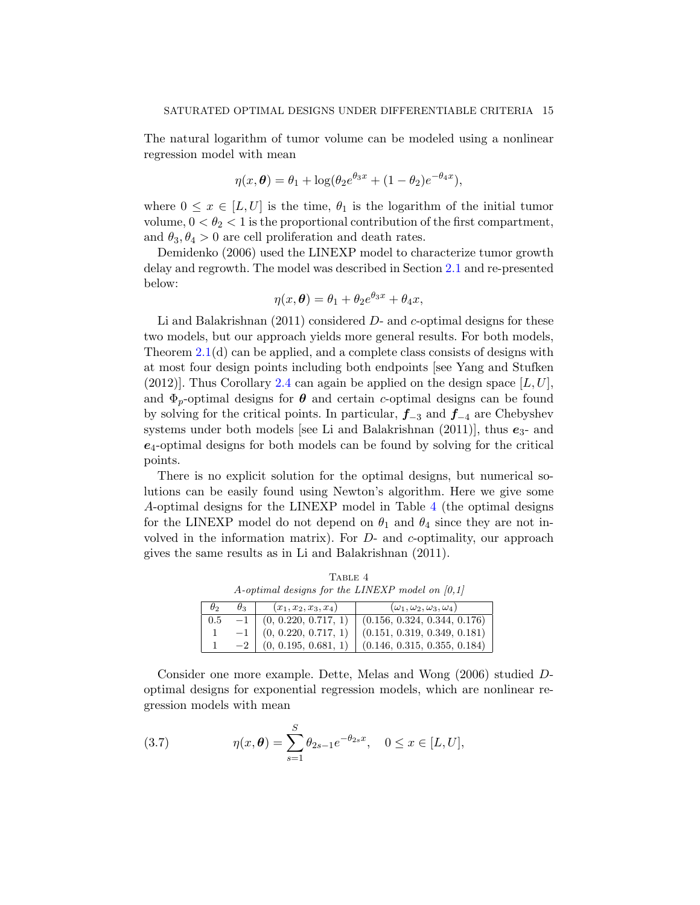The natural logarithm of tumor volume can be modeled using a nonlinear regression model with mean

$$
\eta(x,\theta) = \theta_1 + \log(\theta_2 e^{\theta_3 x} + (1 - \theta_2)e^{-\theta_4 x}),
$$

where  $0 \leq x \in [L, U]$  is the time,  $\theta_1$  is the logarithm of the initial tumor volume,  $0 < \theta_2 < 1$  is the proportional contribution of the first compartment, and  $\theta_3, \theta_4 > 0$  are cell proliferation and death rates.

Demidenko (2006) used the LINEXP model to characterize tumor growth delay and regrowth. The model was described in Section 2.1 and re-presented below:

$$
\eta(x,\theta) = \theta_1 + \theta_2 e^{\theta_3 x} + \theta_4 x,
$$

Li and Balakrishnan (2011) considered *D*- and *c*-optimal designs for these two models, but our approach yields more general results. For both models, Theorem 2.1(d) can be applied, and a complete class consists of designs with at most four design points including both endpoints [see Yang and Stufken  $(2012)$ . Thus Corollary 2.4 can again be applied on the design space  $[L, U]$ , and  $\Phi_p$ -optimal designs for  $\theta$  and certain *c*-optimal designs can be found by solving for the critical points. In particular, *f−*<sup>3</sup> and *f−*<sup>4</sup> are Chebyshev systems under both models [see Li and Balakrishnan  $(2011)$ ], thus  $e_3$ - and *e*4-optimal designs for both models can be found by solving for the critical points.

There is no explicit solution for the optimal designs, but numerical solutions can be easily found using Newton's algorithm. Here we give some *A*-optimal designs for the LINEXP model in Table 4 (the optimal designs for the LINEXP model do not depend on  $\theta_1$  and  $\theta_4$  since they are not involved in the information matrix). For *D*- and *c*-optimality, our approach gives the same results as in Li and Balakrishnan (2011).

TABLE 4 *A-optimal designs for the LINEXP model on [0,1]*

| $\theta_2$ | $\theta_3$ | $(x_1, x_2, x_3, x_4)$    | $(\omega_1, \omega_2, \omega_3, \omega_4)$ |
|------------|------------|---------------------------|--------------------------------------------|
| 0.5        | $-1$       | (0, 0.220, 0.717, 1)      | (0.156, 0.324, 0.344, 0.176)               |
|            |            | $-1$ (0, 0.220, 0.717, 1) | (0.151, 0.319, 0.349, 0.181)               |
|            |            | (0, 0.195, 0.681, 1)      | (0.146, 0.315, 0.355, 0.184)               |

Consider one more example. Dette, Melas and Wong (2006) studied *D*optimal designs for exponential regression models, which are nonlinear regression models with mean

(3.7) 
$$
\eta(x,\theta) = \sum_{s=1}^{S} \theta_{2s-1} e^{-\theta_{2s} x}, \quad 0 \le x \in [L, U],
$$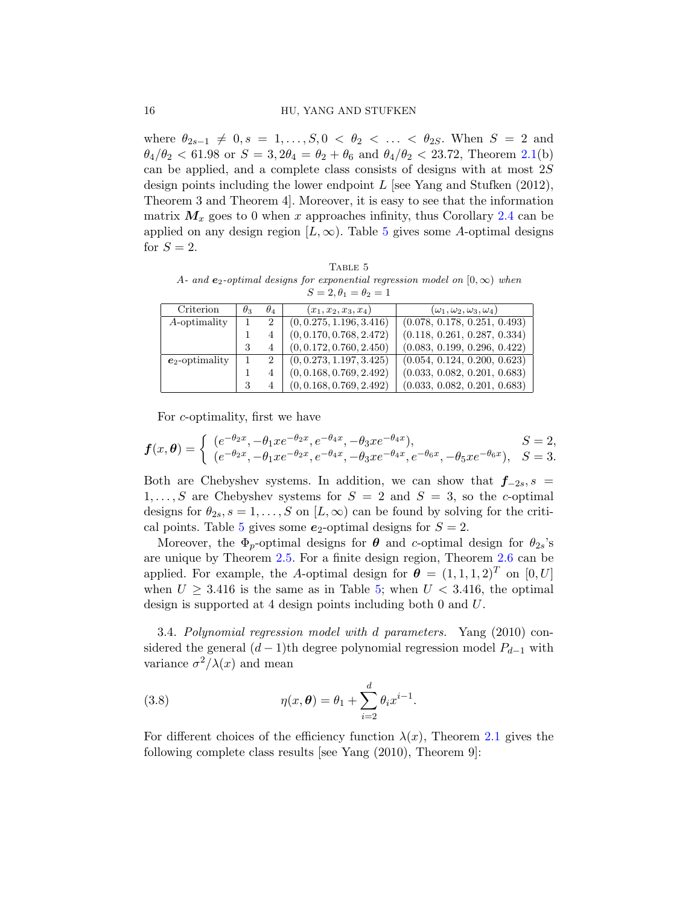where  $\theta_{2s-1} \neq 0, s = 1, \ldots, S, 0 \lt \theta_2 \lt \ldots \lt \theta_{2S}$ . When  $S = 2$  and  $\theta_4/\theta_2 < 61.98$  or  $S = 3, 2\theta_4 = \theta_2 + \theta_6$  and  $\theta_4/\theta_2 < 23.72$ , Theorem 2.1(b) can be applied, and a complete class consists of designs with at most 2*S* design points including the lower endpoint *L* [see Yang and Stufken (2012), Theorem 3 and Theorem 4]. Moreover, it is easy to see that the information matrix  $M_x$  goes to 0 when x approaches infinity, thus Corollary 2.4 can be applied on any design region  $[L, \infty)$ . Table 5 gives some *A*-optimal designs for  $S=2$ .

TABLE 5 *A*<sup>*-*</sup> and **e**<sub>2</sub>*-optimal designs for exponential regression model on* [0*,* $\infty$ *) when*  $S = 2, \theta_1 = \theta_2 = 1$ 

| Criterion         | $\theta_3$ | $\theta_4$     | $(x_1, x_2, x_3, x_4)$   | $(\omega_1, \omega_2, \omega_3, \omega_4)$ |
|-------------------|------------|----------------|--------------------------|--------------------------------------------|
| A-optimality      |            | $\overline{2}$ | (0, 0.275, 1.196, 3.416) | (0.078, 0.178, 0.251, 0.493)               |
|                   |            |                | (0, 0.170, 0.768, 2.472) | (0.118, 0.261, 0.287, 0.334)               |
|                   | 3          | 4              | (0, 0.172, 0.760, 2.450) | (0.083, 0.199, 0.296, 0.422)               |
| $e_2$ -optimality |            | 2              | (0, 0.273, 1.197, 3.425) | (0.054, 0.124, 0.200, 0.623)               |
|                   |            |                | (0, 0.168, 0.769, 2.492) | (0.033, 0.082, 0.201, 0.683)               |
|                   | 3          | 4              | (0, 0.168, 0.769, 2.492) | (0.033, 0.082, 0.201, 0.683)               |

For *c*-optimality, first we have

$$
\mathbf{f}(x,\theta) = \begin{cases} (e^{-\theta_2 x}, -\theta_1 x e^{-\theta_2 x}, e^{-\theta_4 x}, -\theta_3 x e^{-\theta_4 x}), & S = 2, \\ (e^{-\theta_2 x}, -\theta_1 x e^{-\theta_2 x}, e^{-\theta_4 x}, -\theta_3 x e^{-\theta_4 x}, e^{-\theta_6 x}, -\theta_5 x e^{-\theta_6 x}), & S = 3. \end{cases}
$$

Both are Chebyshev systems. In addition, we can show that  $f_{-2s}$ ,  $s =$ 1,..., S are Chebyshev systems for  $S = 2$  and  $S = 3$ , so the *c*-optimal designs for  $\theta_{2s}, s = 1, \ldots, S$  on  $[L, \infty)$  can be found by solving for the critical points. Table 5 gives some  $e_2$ -optimal designs for  $S = 2$ .

Moreover, the  $\Phi_p$ -optimal designs for  $\theta$  and *c*-optimal design for  $\theta_{2s}$ 's are unique by Theorem 2.5. For a finite design region, Theorem 2.6 can be applied. For example, the *A*-optimal design for  $\boldsymbol{\theta} = (1, 1, 1, 2)^T$  on  $[0, U]$ when  $U \geq 3.416$  is the same as in Table 5; when  $U < 3.416$ , the optimal design is supported at 4 design points including both 0 and *U*.

3.4. *Polynomial regression model with d parameters.* Yang (2010) considered the general  $(d-1)$ th degree polynomial regression model  $P_{d-1}$  with variance  $\sigma^2/\lambda(x)$  and mean

(3.8) 
$$
\eta(x, \theta) = \theta_1 + \sum_{i=2}^{d} \theta_i x^{i-1}.
$$

For different choices of the efficiency function  $\lambda(x)$ , Theorem 2.1 gives the following complete class results [see Yang (2010), Theorem 9]: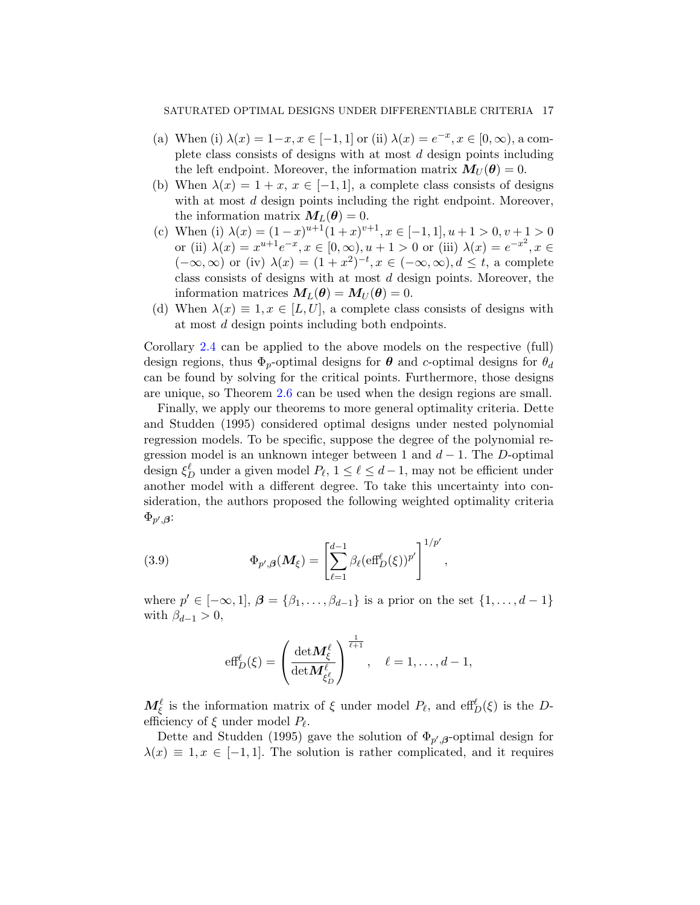- (a) When (i)  $\lambda(x) = 1-x, x \in [-1, 1]$  or (ii)  $\lambda(x) = e^{-x}, x \in [0, \infty)$ , a complete class consists of designs with at most *d* design points including the left endpoint. Moreover, the information matrix  $M_U(\theta) = 0$ .
- (b) When  $\lambda(x) = 1 + x, x \in [-1, 1]$ , a complete class consists of designs with at most *d* design points including the right endpoint. Moreover, the information matrix  $M_L(\theta) = 0$ .
- (c) When (i)  $\lambda(x) = (1-x)^{u+1}(1+x)^{v+1}, x \in [-1,1], u+1 > 0, v+1 > 0$ or (ii)  $\lambda(x) = x^{u+1}e^{-x}, x \in [0, \infty), u+1 > 0$  or (iii)  $\lambda(x) = e^{-x^2}, x \in$  $(-\infty, \infty)$  or (iv)  $\lambda(x) = (1+x^2)^{-t}, x \in (-\infty, \infty), d \leq t$ , a complete class consists of designs with at most *d* design points. Moreover, the information matrices  $M_L(\theta) = M_U(\theta) = 0.$
- (d) When  $\lambda(x) \equiv 1, x \in [L, U]$ , a complete class consists of designs with at most *d* design points including both endpoints.

Corollary 2.4 can be applied to the above models on the respective (full) design regions, thus  $\Phi_p$ -optimal designs for  $\theta$  and *c*-optimal designs for  $\theta_d$ can be found by solving for the critical points. Furthermore, those designs are unique, so Theorem 2.6 can be used when the design regions are small.

Finally, we apply our theorems to more general optimality criteria. Dette and Studden (1995) considered optimal designs under nested polynomial regression models. To be specific, suppose the degree of the polynomial regression model is an unknown integer between 1 and  $d-1$ . The *D*-optimal design  $\xi_D^{\ell}$  under a given model  $P_{\ell}$ ,  $1 \leq \ell \leq d-1$ , may not be efficient under another model with a different degree. To take this uncertainty into consideration, the authors proposed the following weighted optimality criteria  $\Phi_{p',\boldsymbol{\beta}}$ :

(3.9) 
$$
\Phi_{p',\beta}(\boldsymbol{M}_{\xi}) = \left[\sum_{\ell=1}^{d-1} \beta_{\ell} (\mathrm{eff}_{D}^{\ell}(\xi))^{p'}\right]^{1/p'},
$$

where  $p' \in [-\infty, 1], \beta = \{\beta_1, \ldots, \beta_{d-1}\}$  is a prior on the set  $\{1, \ldots, d-1\}$ with  $\beta_{d-1} > 0$ ,

$$
\text{eff}_D^{\ell}(\xi) = \left(\frac{\det M_{\xi}^{\ell}}{\det M_{\xi_D^{\ell}}^{\ell}}\right)^{\frac{1}{\ell+1}}, \quad \ell = 1, \ldots, d-1,
$$

*M*<sup> $\ell$ </sup><sub>*ξ*</sub> is the information matrix of *ξ* under model *P*<sub>*l*</sub>, and eff<sup> $\ell$ </sup><sub>*D*</sub>(*ξ*) is the *D*efficiency of *ξ* under model *P<sup>ℓ</sup>* .

Dette and Studden (1995) gave the solution of  $\Phi_{p',\beta}$ -optimal design for  $\lambda(x) \equiv 1, x \in [-1, 1]$ . The solution is rather complicated, and it requires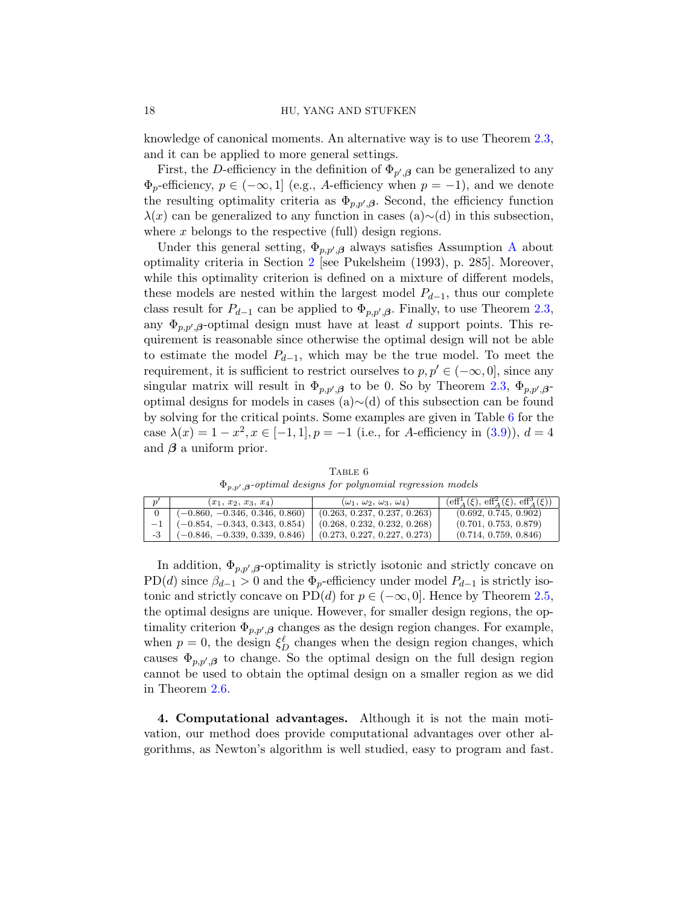knowledge of canonical moments. An alternative way is to use Theorem 2.3, and it can be applied to more general settings.

First, the *D*-efficiency in the definition of  $\Phi_{p',\beta}$  can be generalized to any  $\Phi_p$ -efficiency,  $p \in (-\infty, 1]$  (e.g., *A*-efficiency when  $p = -1$ ), and we denote the resulting optimality criteria as  $\Phi_{p,p',\beta}$ . Second, the efficiency function *λ*(*x*) can be generalized to any function in cases (a)*∼*(d) in this subsection, where x belongs to the respective (full) design regions.

Under this general setting,  $\Phi_{p,p',\beta}$  always satisfies Assumption A about optimality criteria in Section 2 [see Pukelsheim (1993), p. 285]. Moreover, while this optimality criterion is defined on a mixture of different models, these models are nested within the largest model *Pd−*1, thus our complete class result for  $P_{d-1}$  can be applied to  $\Phi_{p,p',\beta}$ . Finally, to use Theorem 2.3, any  $\Phi_{p,p',\beta}$ -optimal design must have at least *d* support points. This requirement is reasonable since otherwise the optimal design will not be able to estimate the model *Pd−*1, which may be the true model. To meet the requirement, it is sufficient to restrict ourselves to  $p, p' \in (-\infty, 0]$ , since any singular matrix will result in  $\Phi_{p,p',\beta}$  to be 0. So by Theorem 2.3,  $\Phi_{p,p',\beta}$ optimal designs for models in cases (a)*∼*(d) of this subsection can be found by solving for the critical points. Some examples are given in Table 6 for the case  $\lambda(x) = 1 - x^2, x \in [-1, 1], p = -1$  (i.e., for *A*-efficiency in (3.9)),  $d = 4$ and  $\beta$  a uniform prior.

TABLE 6 Φ*p,p′ ,β-optimal designs for polynomial regression models*

| $(x_1, x_2, x_3, x_4)$                | $(\omega_1, \omega_2, \omega_3, \omega_4)$ | $(\text{eff}^{1}_{A}(\xi), \text{eff}^{2}_{A}(\xi), \text{eff}^{3}_{A}(\xi))$ |
|---------------------------------------|--------------------------------------------|-------------------------------------------------------------------------------|
| $(-0.860, -0.346, 0.346, 0.860)$      | (0.263, 0.237, 0.237, 0.263)               | (0.692, 0.745, 0.902)                                                         |
| $-1$ $(-0.854, -0.343, 0.343, 0.854)$ | (0.268, 0.232, 0.232, 0.268)               | (0.701, 0.753, 0.879)                                                         |
| $(-0.846, -0.339, 0.339, 0.846)$      | (0.273, 0.227, 0.227, 0.273)               | (0.714, 0.759, 0.846)                                                         |

In addition,  $\Phi_{p,p',\beta}$ -optimality is strictly isotonic and strictly concave on PD(*d*) since  $\beta_{d-1} > 0$  and the  $\Phi_p$ -efficiency under model  $P_{d-1}$  is strictly isotonic and strictly concave on PD(*d*) for  $p \in (-\infty, 0]$ . Hence by Theorem 2.5, the optimal designs are unique. However, for smaller design regions, the optimality criterion  $\Phi_{p,p',\beta}$  changes as the design region changes. For example, when  $p = 0$ , the design  $\xi_D^{\ell}$  changes when the design region changes, which causes  $\Phi_{p,p',\beta}$  to change. So the optimal design on the full design region cannot be used to obtain the optimal design on a smaller region as we did in Theorem 2.6.

**4. Computational advantages.** Although it is not the main motivation, our method does provide computational advantages over other algorithms, as Newton's algorithm is well studied, easy to program and fast.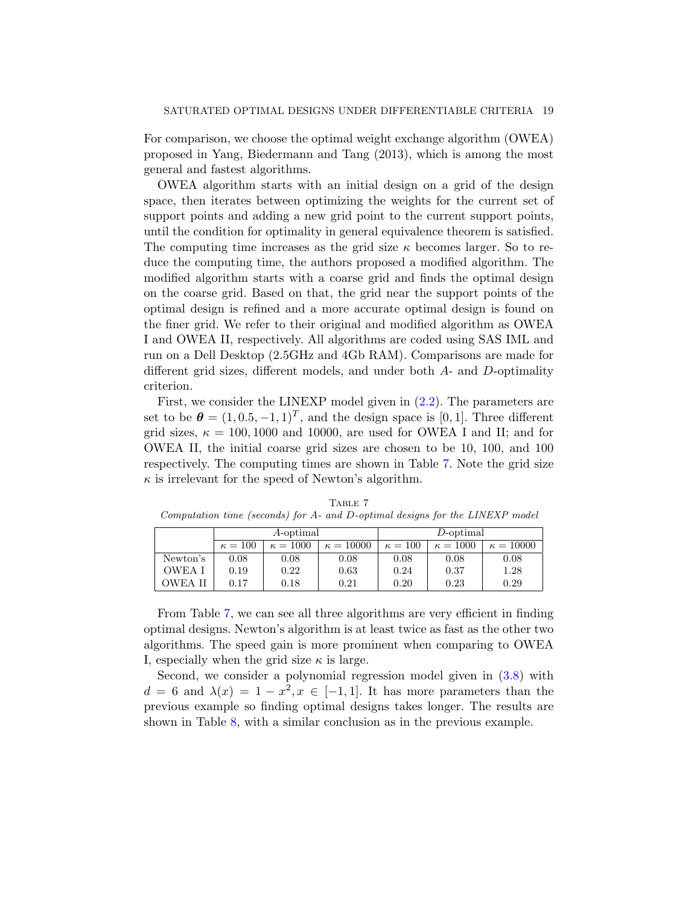For comparison, we choose the optimal weight exchange algorithm (OWEA) proposed in Yang, Biedermann and Tang (2013), which is among the most general and fastest algorithms.

OWEA algorithm starts with an initial design on a grid of the design space, then iterates between optimizing the weights for the current set of support points and adding a new grid point to the current support points, until the condition for optimality in general equivalence theorem is satisfied. The computing time increases as the grid size *κ* becomes larger. So to reduce the computing time, the authors proposed a modified algorithm. The modified algorithm starts with a coarse grid and finds the optimal design on the coarse grid. Based on that, the grid near the support points of the optimal design is refined and a more accurate optimal design is found on the finer grid. We refer to their original and modified algorithm as OWEA I and OWEA II, respectively. All algorithms are coded using SAS IML and run on a Dell Desktop (2.5GHz and 4Gb RAM). Comparisons are made for different grid sizes, different models, and under both *A*- and *D*-optimality criterion.

First, we consider the LINEXP model given in (2.2). The parameters are set to be  $\boldsymbol{\theta} = (1, 0.5, -1, 1)^T$ , and the design space is [0, 1]. Three different grid sizes,  $\kappa = 100, 1000$  and 10000, are used for OWEA I and II; and for OWEA II, the initial coarse grid sizes are chosen to be 10, 100, and 100 respectively. The computing times are shown in Table 7. Note the grid size  $\kappa$  is irrelevant for the speed of Newton's algorithm.

|                |                                                       | A-optimal |      | $D$ -optimal   |                 |                  |
|----------------|-------------------------------------------------------|-----------|------|----------------|-----------------|------------------|
|                | $\kappa = 100$<br>$\kappa = 10000$<br>$\kappa = 1000$ |           |      | $\kappa = 100$ | $\kappa = 1000$ | $\kappa = 10000$ |
| Newton's       | 0.08                                                  | 0.08      | 0.08 | 0.08           | 0.08            | 0.08             |
| <b>OWEA I</b>  | 0.19                                                  | 0.22      | 0.63 | 0.24           | 0.37            | 1.28             |
| <b>OWEA II</b> | 0.17                                                  | 0.18      | 0.21 | 0.20           | 0.23            | 0.29             |

TABLE 7 *Computation time (seconds) for A- and D-optimal designs for the LINEXP model*

From Table 7, we can see all three algorithms are very efficient in finding optimal designs. Newton's algorithm is at least twice as fast as the other two algorithms. The speed gain is more prominent when comparing to OWEA I, especially when the grid size  $\kappa$  is large.

Second, we consider a polynomial regression model given in  $(3.8)$  with  $d = 6$  and  $\lambda(x) = 1 - x^2, x \in [-1, 1]$ . It has more parameters than the previous example so finding optimal designs takes longer. The results are shown in Table 8, with a similar conclusion as in the previous example.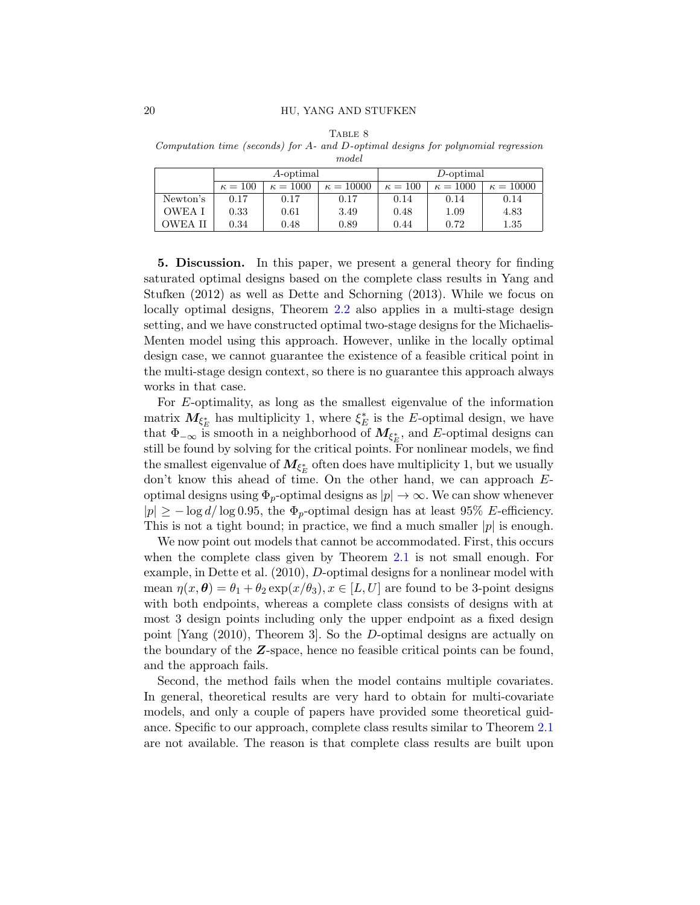| \ RLE |  |
|-------|--|
|-------|--|

*Computation time (seconds) for A- and D-optimal designs for polynomial regression model*

|               | A-optimal      |                 |                  | D-optimal      |                 |                  |
|---------------|----------------|-----------------|------------------|----------------|-----------------|------------------|
|               | $\kappa = 100$ | $\kappa = 1000$ | $\kappa = 10000$ | $\kappa = 100$ | $\kappa = 1000$ | $\kappa = 10000$ |
| Newton's      | 0.17           | 0.17            | 0.17             | 0.14           | 0.14            | 0.14             |
| <b>OWEA I</b> | 0.33           | 0.61            | 3.49             | 0.48           | 1.09            | 4.83             |
| OWEA          | 0.34           | 0.48            | 0.89             | 0.44           | 0.72            | 1.35             |

**5. Discussion.** In this paper, we present a general theory for finding saturated optimal designs based on the complete class results in Yang and Stufken (2012) as well as Dette and Schorning (2013). While we focus on locally optimal designs, Theorem 2.2 also applies in a multi-stage design setting, and we have constructed optimal two-stage designs for the Michaelis-Menten model using this approach. However, unlike in the locally optimal design case, we cannot guarantee the existence of a feasible critical point in the multi-stage design context, so there is no guarantee this approach always works in that case.

For *E*-optimality, as long as the smallest eigenvalue of the information matrix  $M_{\xi_E^*}$  has multiplicity 1, where  $\xi_E^*$  is the *E*-optimal design, we have that  $\Phi_{-\infty}$  is smooth in a neighborhood of  $M_{\xi_E^*}$ , and *E*-optimal designs can still be found by solving for the critical points. For nonlinear models, we find the smallest eigenvalue of  $M_{\xi_E^*}$  often does have multiplicity 1, but we usually don't know this ahead of time. On the other hand, we can approach *E*optimal designs using  $\Phi_p$ -optimal designs as  $|p| \to \infty$ . We can show whenever  $|p| \geq -\log d/\log 0.95$ , the  $\Phi_p$ -optimal design has at least 95% *E*-efficiency. This is not a tight bound; in practice, we find a much smaller *|p|* is enough.

We now point out models that cannot be accommodated. First, this occurs when the complete class given by Theorem 2.1 is not small enough. For example, in Dette et al. (2010), *D*-optimal designs for a nonlinear model with mean  $\eta(x,\theta) = \theta_1 + \theta_2 \exp(x/\theta_3), x \in [L, U]$  are found to be 3-point designs with both endpoints, whereas a complete class consists of designs with at most 3 design points including only the upper endpoint as a fixed design point [Yang (2010), Theorem 3]. So the *D*-optimal designs are actually on the boundary of the *Z*-space, hence no feasible critical points can be found, and the approach fails.

Second, the method fails when the model contains multiple covariates. In general, theoretical results are very hard to obtain for multi-covariate models, and only a couple of papers have provided some theoretical guidance. Specific to our approach, complete class results similar to Theorem 2.1 are not available. The reason is that complete class results are built upon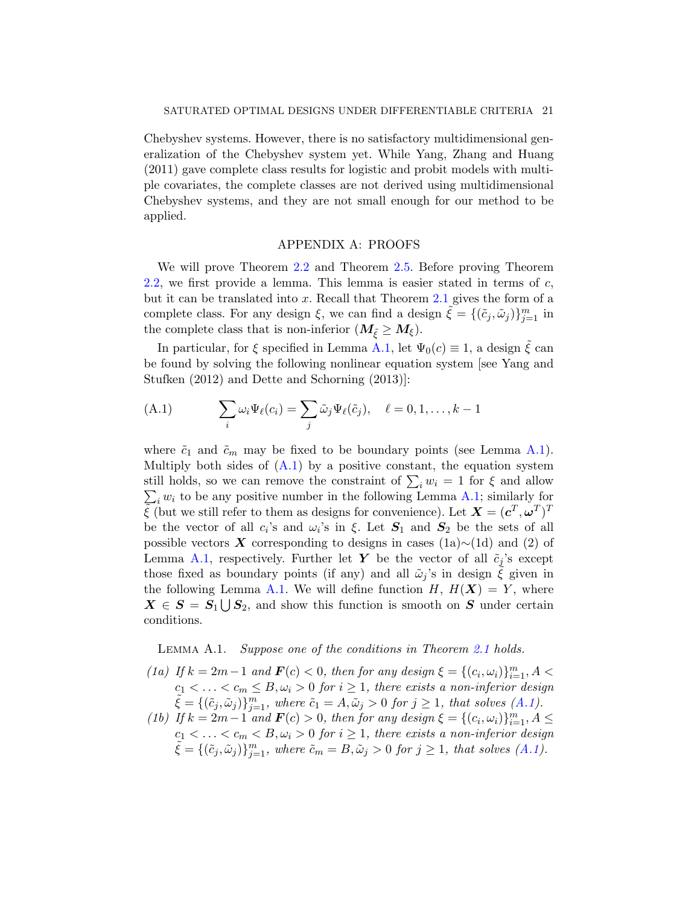Chebyshev systems. However, there is no satisfactory multidimensional generalization of the Chebyshev system yet. While Yang, Zhang and Huang (2011) gave complete class results for logistic and probit models with multiple covariates, the complete classes are not derived using multidimensional Chebyshev systems, and they are not small enough for our method to be applied.

# APPENDIX A: PROOFS

We will prove Theorem 2.2 and Theorem 2.5. Before proving Theorem 2.2, we first provide a lemma. This lemma is easier stated in terms of *c*, but it can be translated into *x*. Recall that Theorem 2.1 gives the form of a complete class. For any design  $\xi$ , we can find a design  $\tilde{\xi} = \{(\tilde{c}_j, \tilde{\omega}_j)\}_{j=1}^m$  in the complete class that is non-inferior  $(M_{\tilde{\xi}} \geq M_{\xi})$ .

In particular, for  $\xi$  specified in Lemma A.1, let  $\Psi_0(c) \equiv 1$ , a design  $\tilde{\xi}$  can be found by solving the following nonlinear equation system [see Yang and Stufken (2012) and Dette and Schorning (2013)]:

(A.1) 
$$
\sum_{i} \omega_i \Psi_{\ell}(c_i) = \sum_{j} \tilde{\omega}_j \Psi_{\ell}(\tilde{c}_j), \quad \ell = 0, 1, \dots, k-1
$$

where  $\tilde{c}_1$  and  $\tilde{c}_m$  may be fixed to be boundary points (see Lemma A.1). Multiply both sides of  $(A.1)$  by a positive constant, the equation system still holds, so we can remove the constraint of  $\sum_i w_i = 1$  for  $\xi$  and allow  $\sum_{i} w_i$  to be any positive number in the following Lemma A.1; similarly for  $\widetilde{\xi}$  (but we still refer to them as designs for convenience). Let  $\mathbf{X} = (\mathbf{c}^T, \mathbf{\omega}^T)^T$ be the vector of all  $c_i$ 's and  $\omega_i$ 's in  $\xi$ . Let  $S_1$  and  $S_2$  be the sets of all possible vectors *X* corresponding to designs in cases (1a)*∼*(1d) and (2) of Lemma A.1, respectively. Further let *Y* be the vector of all  $\tilde{c}_j$ 's except those fixed as boundary points (if any) and all  $\tilde{\omega}_i$ 's in design  $\xi$  given in the following Lemma A.1. We will define function  $H, H(X) = Y$ , where  $X \in S = S_1 \bigcup S_2$ , and show this function is smooth on *S* under certain conditions.

Lemma A.1. *Suppose one of the conditions in Theorem 2.1 holds.*

(1a) If 
$$
k = 2m - 1
$$
 and  $F(c) < 0$ , then for any design  $\xi = \{(c_i, \omega_i)\}_{i=1}^m$ ,  $A < c_1 < \ldots < c_m \leq B$ ,  $\omega_i > 0$  for  $i \geq 1$ , there exists a non-inferior design  $\tilde{\xi} = \{(\tilde{c}_j, \tilde{\omega}_j)\}_{j=1}^m$ , where  $\tilde{c}_1 = A, \tilde{\omega}_j > 0$  for  $j \geq 1$ , that solves  $(A.1)$ .

*(1b) If*  $k = 2m - 1$  *and*  $F(c) > 0$ *, then for any design*  $\xi = \{(c_i, \omega_i)\}_{i=1}^m$ ,  $A \leq$  $c_1 < \ldots < c_m < B, \omega_i > 0$  for  $i \geq 1$ , there exists a non-inferior design  $\tilde{\xi} = \{(\tilde{c}_j, \tilde{\omega}_j)\}_{j=1}^m$ , where  $\tilde{c}_m = B, \tilde{\omega}_j > 0$  for  $j \ge 1$ , that solves  $(A.1)$ .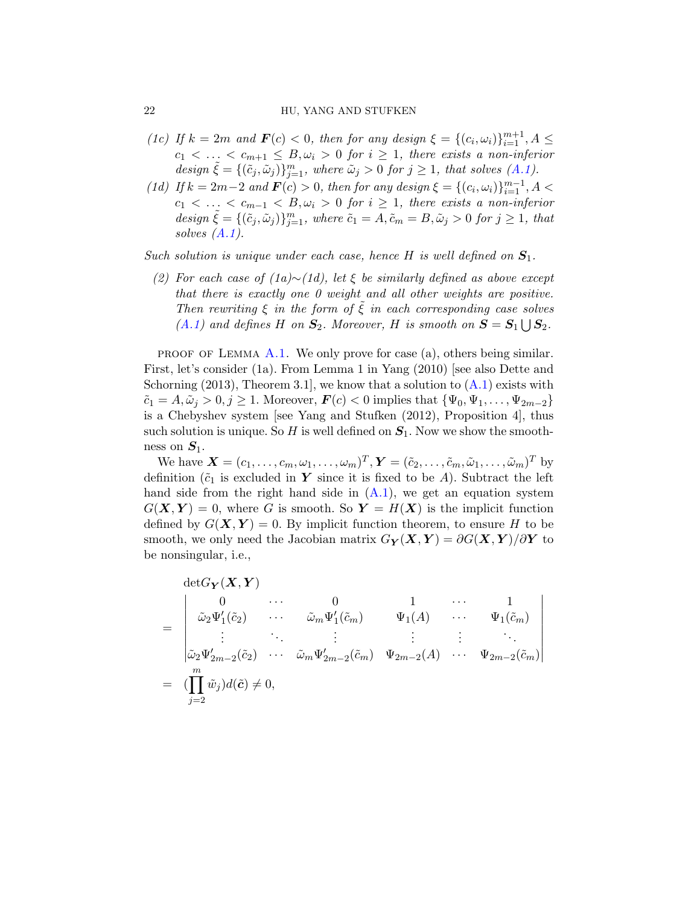#### 22 **HU, YANG AND STUFKEN**

- *(1c) If*  $k = 2m$  *and*  $\mathbf{F}(c) < 0$ , *then for any design*  $\xi = \{(c_i, \omega_i)\}_{i=1}^{m+1}, A \leq$  $c_1 < \ldots < c_{m+1} \leq B, \omega_i > 0$  *for*  $i \geq 1$ *, there exists a non-inferior*  $design\ \tilde{\xi} = \{(\tilde{c}_j, \tilde{\omega}_j)\}_{j=1}^m$ , where  $\tilde{\omega}_j > 0$  for  $j \geq 1$ , that solves  $(A.1)$ .
- (1d) If  $k = 2m-2$  and  $F(c) > 0$ , then for any design  $\xi = \{(c_i, \omega_i)\}_{i=1}^{m-1}$ ,  $A <$  $c_1 < \ldots < c_{m-1} < B, \omega_i > 0$  for  $i \geq 1$ , there exists a non-inferior design  $\tilde{\xi} = \{(\tilde{c}_j, \tilde{\omega}_j)\}_{j=1}^m$ , where  $\tilde{c}_1 = A, \tilde{c}_m = B, \tilde{\omega}_j > 0$  for  $j \ge 1$ , that *solves (A.1).*

*Such solution is unique under each case, hence H is well defined on S*1*.*

*(2) For each case of (1a)∼(1d), let ξ be similarly defined as above except that there is exactly one 0 weight and all other weights are positive. Then rewriting*  $\xi$  *in the form of*  $\xi$  *in each corresponding case solves*  $(A.1)$  and defines *H* on  $S_2$ . Moreover, *H* is smooth on  $S = S_1 \cup S_2$ .

**PROOF OF LEMMA A.1.** We only prove for case (a), others being similar. First, let's consider (1a). From Lemma 1 in Yang (2010) [see also Dette and Schorning  $(2013)$ , Theorem 3.1, we know that a solution to  $(A.1)$  exists with  $\tilde{c}_1 = A, \tilde{\omega}_i > 0, j \geq 1$ . Moreover,  $\boldsymbol{F}(c) < 0$  implies that  $\{\Psi_0, \Psi_1, \dots, \Psi_{2m-2}\}\$ is a Chebyshev system [see Yang and Stufken (2012), Proposition 4], thus such solution is unique. So  $H$  is well defined on  $S_1$ . Now we show the smoothness on *S*1.

We have  $\mathbf{X} = (c_1, \ldots, c_m, \omega_1, \ldots, \omega_m)^T$ ,  $\mathbf{Y} = (\tilde{c}_2, \ldots, \tilde{c}_m, \tilde{\omega}_1, \ldots, \tilde{\omega}_m)^T$  by definition  $(\tilde{c}_1$  is excluded in *Y* since it is fixed to be *A*). Subtract the left hand side from the right hand side in  $(A.1)$ , we get an equation system  $G(X, Y) = 0$ , where *G* is smooth. So  $Y = H(X)$  is the implicit function defined by  $G(X, Y) = 0$ . By implicit function theorem, to ensure *H* to be smooth, we only need the Jacobian matrix  $G_Y(X, Y) = \partial G(X, Y)/\partial Y$  to be nonsingular, i.e.,

$$
\begin{aligned}\n\det G_{\mathbf{Y}}(\mathbf{X}, \mathbf{Y}) \\
&= \begin{vmatrix}\n0 & \cdots & 0 & 1 & \cdots & 1 \\
\tilde{\omega}_2 \Psi_1'(\tilde{c}_2) & \cdots & \tilde{\omega}_m \Psi_1'(\tilde{c}_m) & \Psi_1(A) & \cdots & \Psi_1(\tilde{c}_m) \\
\vdots & \ddots & \vdots & \vdots & \vdots & \ddots \\
\tilde{\omega}_2 \Psi_{2m-2}'(\tilde{c}_2) & \cdots & \tilde{\omega}_m \Psi_{2m-2}'(\tilde{c}_m) & \Psi_{2m-2}(A) & \cdots & \Psi_{2m-2}(\tilde{c}_m)\n\end{vmatrix} \\
&= (\prod_{j=2}^m \tilde{w}_j) d(\tilde{c}) \neq 0,\n\end{aligned}
$$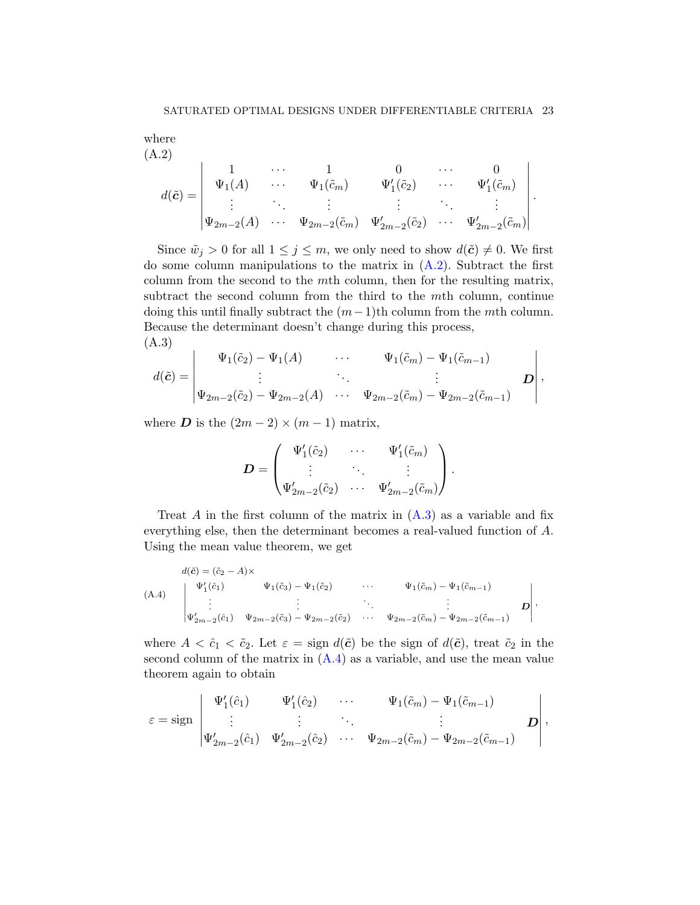where 
$$
(A.2)
$$

$$
d(\tilde{c}) = \begin{vmatrix} 1 & \cdots & 1 & 0 & \cdots & 0 \\ \Psi_1(A) & \cdots & \Psi_1(\tilde{c}_m) & \Psi'_1(\tilde{c}_2) & \cdots & \Psi'_1(\tilde{c}_m) \\ \vdots & \ddots & \vdots & \vdots & \ddots & \vdots \\ \Psi_{2m-2}(A) & \cdots & \Psi_{2m-2}(\tilde{c}_m) & \Psi'_{2m-2}(\tilde{c}_2) & \cdots & \Psi'_{2m-2}(\tilde{c}_m) \end{vmatrix}.
$$

Since  $\tilde{w}_j > 0$  for all  $1 \leq j \leq m$ , we only need to show  $d(\tilde{c}) \neq 0$ . We first do some column manipulations to the matrix in (A.2). Subtract the first column from the second to the *m*th column, then for the resulting matrix, subtract the second column from the third to the *m*th column, continue doing this until finally subtract the (*m−*1)th column from the *m*th column. Because the determinant doesn't change during this process, (A.3)

$$
d(\tilde{c}) = \begin{vmatrix} \Psi_1(\tilde{c}_2) - \Psi_1(A) & \cdots & \Psi_1(\tilde{c}_m) - \Psi_1(\tilde{c}_{m-1}) \\ \vdots & \ddots & \vdots \\ \Psi_{2m-2}(\tilde{c}_2) - \Psi_{2m-2}(A) & \cdots & \Psi_{2m-2}(\tilde{c}_m) - \Psi_{2m-2}(\tilde{c}_{m-1}) \end{vmatrix},
$$

where *D* is the  $(2m - 2) \times (m - 1)$  matrix,

$$
\boldsymbol{D} = \begin{pmatrix} \Psi_1'(\tilde{c}_2) & \cdots & \Psi_1'(\tilde{c}_m) \\ \vdots & \ddots & \vdots \\ \Psi_{2m-2}'(\tilde{c}_2) & \cdots & \Psi_{2m-2}'(\tilde{c}_m) \end{pmatrix}.
$$

Treat *A* in the first column of the matrix in  $(A.3)$  as a variable and fix everything else, then the determinant becomes a real-valued function of *A*. Using the mean value theorem, we get

$$
(A.4) \qquad \begin{aligned}\nd(\tilde{c}) &= (\tilde{c}_2 - A) \times \\
\Psi_1'(\hat{c}_1) & \Psi_1(\tilde{c}_3) - \Psi_1(\tilde{c}_2) & \cdots & \Psi_1(\tilde{c}_m) - \Psi_1(\tilde{c}_{m-1}) \\
&\vdots &\vdots \\
\Psi_{2m-2}'(\hat{c}_1) & \Psi_{2m-2}(\tilde{c}_3) - \Psi_{2m-2}(\tilde{c}_2) & \cdots & \Psi_{2m-2}(\tilde{c}_m) - \Psi_{2m-2}(\tilde{c}_{m-1}) & D\n\end{aligned}
$$

where  $A < \hat{c}_1 < \tilde{c}_2$ . Let  $\varepsilon = \text{sign } d(\tilde{c})$  be the sign of  $d(\tilde{c})$ , treat  $\tilde{c}_2$  in the second column of the matrix in  $(A.4)$  as a variable, and use the mean value theorem again to obtain

$$
\varepsilon = \text{sign} \begin{vmatrix} \Psi_1'(\hat{c}_1) & \Psi_1'(\hat{c}_2) & \cdots & \Psi_1(\tilde{c}_m) - \Psi_1(\tilde{c}_{m-1}) \\ \vdots & \vdots & \ddots & \vdots \\ \Psi_{2m-2}'(\hat{c}_1) & \Psi_{2m-2}'(\hat{c}_2) & \cdots & \Psi_{2m-2}(\tilde{c}_m) - \Psi_{2m-2}(\tilde{c}_{m-1}) \end{vmatrix},
$$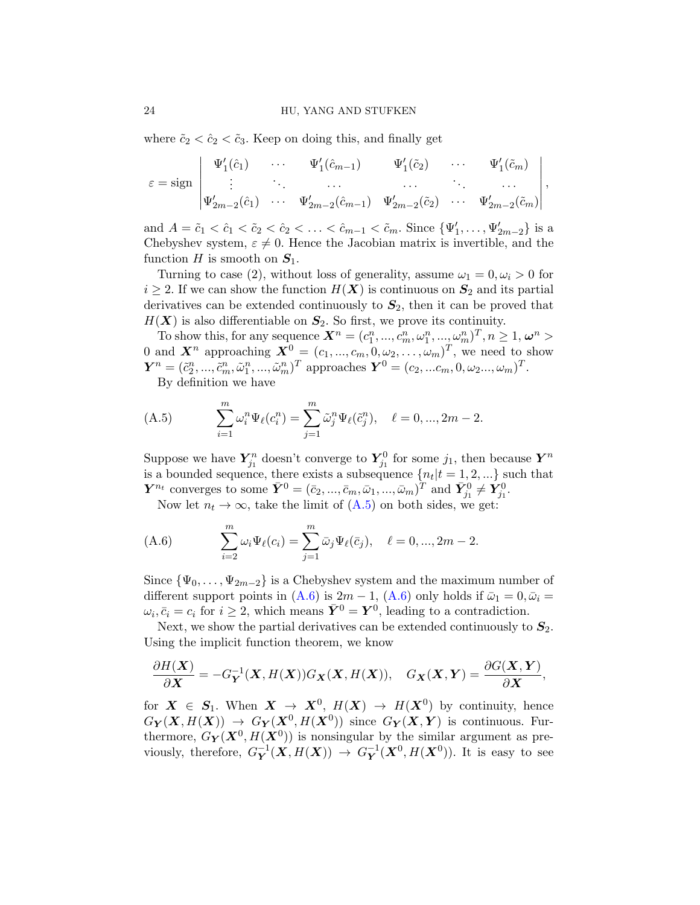where  $\tilde{c}_2 < \tilde{c}_2 < \tilde{c}_3$ . Keep on doing this, and finally get

$$
\varepsilon = \text{sign} \begin{vmatrix} \Psi_1'(\hat{c}_1) & \cdots & \Psi_1'(\hat{c}_{m-1}) & \Psi_1'(\tilde{c}_2) & \cdots & \Psi_1'(\tilde{c}_m) \\ \vdots & \ddots & \cdots & \cdots & \cdots \\ \Psi_{2m-2}'(\hat{c}_1) & \cdots & \Psi_{2m-2}'(\hat{c}_{m-1}) & \Psi_{2m-2}'(\tilde{c}_2) & \cdots & \Psi_{2m-2}'(\tilde{c}_m) \end{vmatrix},
$$

and  $A = \tilde{c}_1 < \tilde{c}_1 < \tilde{c}_2 < \tilde{c}_2 < \ldots < \tilde{c}_{m-1} < \tilde{c}_m$ . Since  $\{\Psi'_1, \ldots, \Psi'_{2m-2}\}\$  is a Chebyshev system,  $\varepsilon \neq 0$ . Hence the Jacobian matrix is invertible, and the function *H* is smooth on  $S_1$ .

Turning to case (2), without loss of generality, assume  $\omega_1 = 0, \omega_i > 0$  for  $i \geq 2$ . If we can show the function  $H(X)$  is continuous on  $S_2$  and its partial derivatives can be extended continuously to *S*2, then it can be proved that  $H(X)$  is also differentiable on  $S_2$ . So first, we prove its continuity.

To show this, for any sequence  $\mathbf{X}^n = (c_1^n, ..., c_m^n, \omega_1^n, ..., \omega_m^n)^T, n \geq 1, \omega^n >$ 0 and  $\mathbf{X}^n$  approaching  $\mathbf{X}^0 = (c_1, ..., c_m, 0, \omega_2, ..., \omega_m)^T$ , we need to show  $\bm{Y}^n = (\tilde{c}_2^n, ..., \tilde{c}_m^n, \tilde{\omega}_1^n, ..., \tilde{\omega}_m^n)^T$  approaches  $\bm{Y}^0 = (c_2, ... c_m, 0, \omega_2 ..., \omega_m)^T$ .

By definition we have

(A.5) 
$$
\sum_{i=1}^{m} \omega_i^n \Psi_{\ell}(c_i^n) = \sum_{j=1}^{m} \tilde{\omega}_j^n \Psi_{\ell}(\tilde{c}_j^n), \quad \ell = 0, ..., 2m - 2.
$$

Suppose we have  $Y_{j_1}^n$  doesn't converge to  $Y_{j_1}^0$  for some  $j_1$ , then because  $Y^n$ is a bounded sequence, there exists a subsequence  $\{n_t | t = 1, 2, ...\}$  such that *Y*<sup>*n*</sup></sup> converges to some  $\bar{Y}^0 = (\bar{c}_2, ..., \bar{c}_m, \bar{\omega}_1, ..., \bar{\omega}_m)^T$  and  $\bar{Y}_{j_1}^0 \neq \bar{Y}_{j_1}^0$ .

Now let  $n_t \to \infty$ , take the limit of  $(A.5)$  on both sides, we get:

(A.6) 
$$
\sum_{i=2}^{m} \omega_i \Psi_{\ell}(c_i) = \sum_{j=1}^{m} \bar{\omega}_j \Psi_{\ell}(\bar{c}_j), \quad \ell = 0, ..., 2m - 2.
$$

Since  ${\Psi_0, \ldots, \Psi_{2m-2}}$  is a Chebyshev system and the maximum number of different support points in  $(A.6)$  is  $2m - 1$ ,  $(A.6)$  only holds if  $\bar{\omega}_1 = 0$ ,  $\bar{\omega}_i =$  $\omega_i, \bar{c}_i = c_i$  for  $i \geq 2$ , which means  $\bar{Y}^0 = Y^0$ , leading to a contradiction.

Next, we show the partial derivatives can be extended continuously to  $S_2$ . Using the implicit function theorem, we know

$$
\frac{\partial H(\boldsymbol{X})}{\partial \boldsymbol{X}} = -G_{\boldsymbol{Y}}^{-1}(\boldsymbol{X}, H(\boldsymbol{X})) G_{\boldsymbol{X}}(\boldsymbol{X}, H(\boldsymbol{X})), \quad G_{\boldsymbol{X}}(\boldsymbol{X}, \boldsymbol{Y}) = \frac{\partial G(\boldsymbol{X}, \boldsymbol{Y})}{\partial \boldsymbol{X}},
$$

for  $X \in S_1$ . When  $X \to X^0$ ,  $H(X) \to H(X^0)$  by continuity, hence  $G_Y(X, H(X)) \rightarrow G_Y(X^0, H(X^0))$  since  $G_Y(X, Y)$  is continuous. Furthermore,  $G_Y(X^0, H(X^0))$  is nonsingular by the similar argument as previously, therefore,  $G_Y^{-1}(\mathbf{X}, H(\mathbf{X})) \to G_Y^{-1}(\mathbf{X}^0, H(\mathbf{X}^0))$ . It is easy to see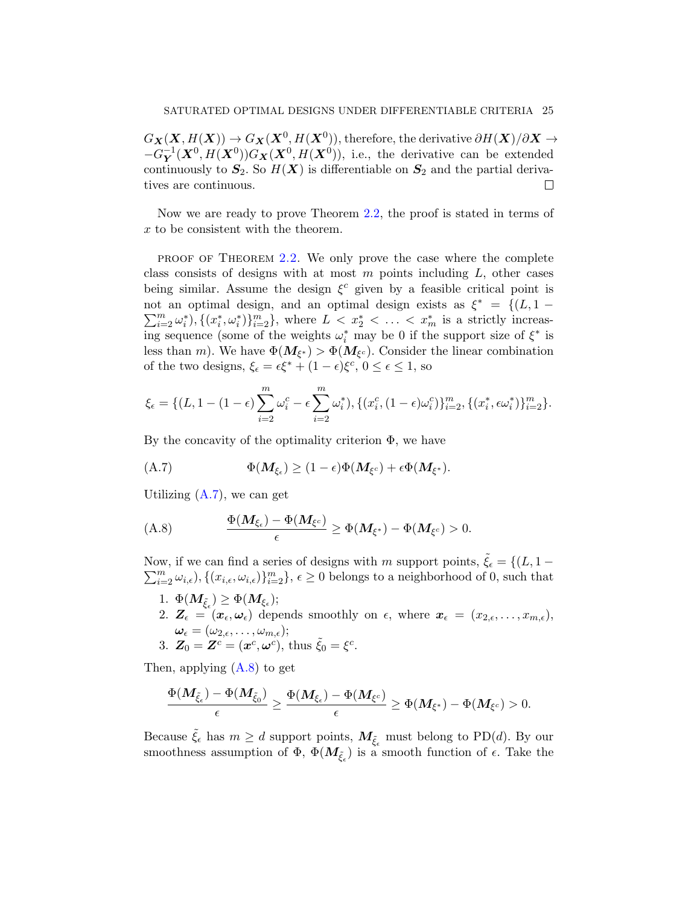$G_{\boldsymbol{X}}(\boldsymbol{X}, H(\boldsymbol{X})) \to G_{\boldsymbol{X}}(\boldsymbol{X}^0, H(\boldsymbol{X}^0))$ , therefore, the derivative  $\partial H(\boldsymbol{X})/\partial \boldsymbol{X} \to$  $-G_{\mathbf{Y}}^{-1}(\mathbf{X}^0, H(\mathbf{X}^0))G_{\mathbf{X}}(\mathbf{X}^0, H(\mathbf{X}^0))$ , i.e., the derivative can be extended continuously to  $S_2$ . So  $H(X)$  is differentiable on  $S_2$  and the partial derivatives are continuous. П

Now we are ready to prove Theorem 2.2, the proof is stated in terms of *x* to be consistent with the theorem.

**PROOF OF THEOREM 2.2.** We only prove the case where the complete class consists of designs with at most *m* points including *L*, other cases being similar. Assume the design  $\xi^c$  given by a feasible critical point is not an optimal design, and an optimal design exists as  $\xi^* = \{(L, 1 \sum_{i=2}^m \omega_i^*$ ,  $\{(x_i^*, \omega_i^*)\}_{i=2}^m$ , where  $L < x_2^* < \ldots < x_m^*$  is a strictly increasing sequence (some of the weights  $\omega_i^*$  may be 0 if the support size of  $\xi^*$  is less than *m*). We have  $\Phi(M_{\xi^*}) > \Phi(M_{\xi^c})$ . Consider the linear combination of the two designs,  $\xi_{\epsilon} = \epsilon \xi^* + (1 - \epsilon) \xi^c$ ,  $0 \le \epsilon \le 1$ , so

$$
\xi_{\epsilon} = \{ (L, 1 - (1 - \epsilon) \sum_{i=2}^{m} \omega_i^c - \epsilon \sum_{i=2}^{m} \omega_i^*), \{ (x_i^c, (1 - \epsilon) \omega_i^c) \}_{i=2}^{m}, \{ (x_i^*, \epsilon \omega_i^*) \}_{i=2}^{m} \}.
$$

By the concavity of the optimality criterion  $\Phi$ , we have

$$
\Phi(M_{\xi_{\epsilon}}) \geq (1-\epsilon)\Phi(M_{\xi^c}) + \epsilon \Phi(M_{\xi^*}).
$$

Utilizing  $(A.7)$ , we can get

(A.8) 
$$
\frac{\Phi(M_{\xi_{\epsilon}})-\Phi(M_{\xi^c})}{\epsilon}\geq \Phi(M_{\xi^*})-\Phi(M_{\xi^c})>0.
$$

Now, if we can find a series of designs with *m* support points,  $\tilde{\xi}_{\epsilon} = \{(L, 1 - \epsilon)\}$  $\sum_{i=2}^{m} \omega_{i,\epsilon}$ ,  $\{(x_{i,\epsilon}, \omega_{i,\epsilon})\}_{i=2}^{m}$ ,  $\epsilon \geq 0$  belongs to a neighborhood of 0, such that

 $1. \ \Phi(\bm{M}_{\tilde{\xi}_{\epsilon}}) \geq \Phi(\bm{M}_{\xi_{\epsilon}});$ 2.  $\mathbf{Z}_{\epsilon} = (\mathbf{x}_2, \epsilon, \mathbf{x}_i)$  depends smoothly on  $\epsilon$ , where  $\mathbf{x}_{\epsilon} = (x_{2,\epsilon}, \ldots, x_{m,\epsilon}),$  $\boldsymbol{\omega}_{\epsilon}=(\omega_{2,\epsilon},\ldots,\omega_{m,\epsilon});$ 3.  $\mathbf{Z}_0 = \mathbf{Z}^c = (\mathbf{x}^c, \boldsymbol{\omega}^c), \text{ thus } \tilde{\xi}_0 = \xi^c.$ 

Then, applying  $(A.8)$  to get

$$
\frac{\Phi(M_{\tilde{\xi}_{\epsilon}})-\Phi(M_{\tilde{\xi}_0})}{\epsilon}\geq \frac{\Phi(M_{\xi_{\epsilon}})-\Phi(M_{\xi^c})}{\epsilon}\geq \Phi(M_{\xi^*})-\Phi(M_{\xi^c})>0.
$$

Because  $\tilde{\xi}_{\epsilon}$  has  $m \geq d$  support points,  $M_{\tilde{\xi}_{\epsilon}}$  must belong to PD(*d*). By our smoothness assumption of  $\Phi$ ,  $\Phi(M_{\tilde{\xi}_{\epsilon}})$  is a smooth function of  $\epsilon$ . Take the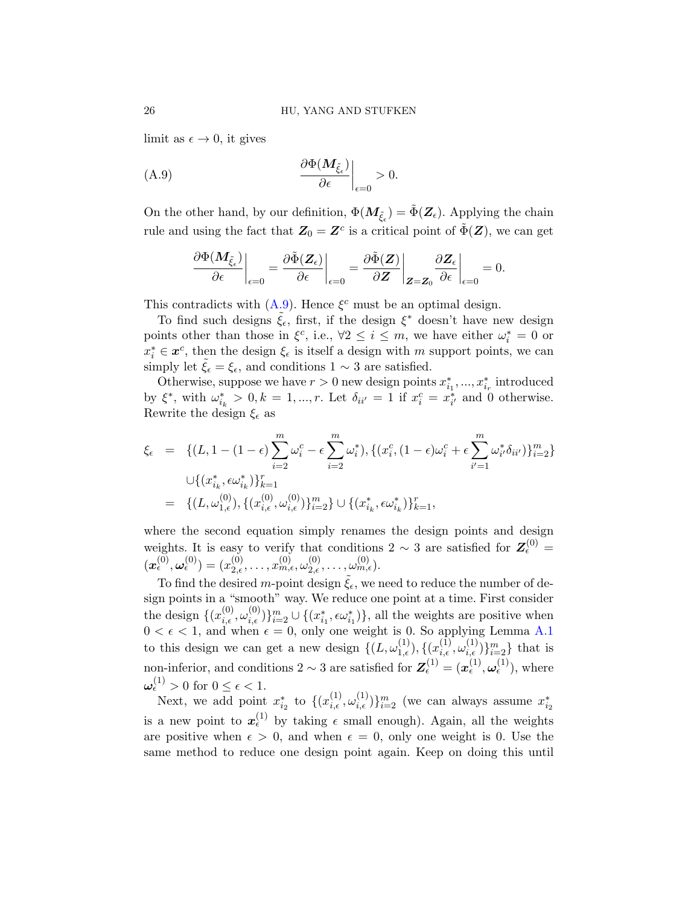limit as  $\epsilon \to 0$ , it gives

(A.9) 
$$
\frac{\partial \Phi(M_{\tilde{\xi}_{\epsilon}})}{\partial \epsilon}\Big|_{\epsilon=0} > 0.
$$

On the other hand, by our definition,  $\Phi(M_{\tilde{\xi}_{\epsilon}}) = \tilde{\Phi}(\mathbf{Z}_{\epsilon})$ . Applying the chain rule and using the fact that  $Z_0 = Z^c$  is a critical point of  $\tilde{\Phi}(Z)$ , we can get

$$
\left.\frac{\partial\Phi(\pmb{M}_{\tilde{\pmb{\xi}}_\epsilon})}{\partial\epsilon}\right|_{\epsilon=0}=\left.\frac{\partial\tilde{\Phi}(\pmb{Z}_\epsilon)}{\partial\epsilon}\right|_{\epsilon=0}=\left.\frac{\partial\tilde{\Phi}(\pmb{Z})}{\partial\pmb{Z}}\right|_{\pmb{Z}=\pmb{Z}_0}\left.\frac{\partial\pmb{Z}_\epsilon}{\partial\epsilon}\right|_{\epsilon=0}=0.
$$

This contradicts with  $(A.9)$ . Hence  $\xi^c$  must be an optimal design.

To find such designs ˜*ξϵ*, first, if the design *ξ ∗* doesn't have new design points other than those in  $\xi^c$ , i.e.,  $\forall 2 \leq i \leq m$ , we have either  $\omega_i^* = 0$  or  $x_i^* \in \mathbf{x}^c$ , then the design  $\xi_{\epsilon}$  is itself a design with *m* support points, we can simply let  $\tilde{\xi}_{\epsilon} = \xi_{\epsilon}$ , and conditions  $1 \sim 3$  are satisfied.

Otherwise, suppose we have  $r > 0$  new design points  $x_{i_1}^*, \ldots, x_{i_r}^*$  introduced by  $\xi^*$ , with  $\omega^*_{i_k} > 0, k = 1, ..., r$ . Let  $\delta_{ii'} = 1$  if  $x_i^c = x_{i'}^*$  and 0 otherwise. Rewrite the design *ξ<sup>ϵ</sup>* as

$$
\xi_{\epsilon} = \{ (L, 1 - (1 - \epsilon) \sum_{i=2}^{m} \omega_{i}^{c} - \epsilon \sum_{i=2}^{m} \omega_{i}^{*}), \{ (x_{i}^{c}, (1 - \epsilon) \omega_{i}^{c} + \epsilon \sum_{i'=1}^{m} \omega_{i'}^{*} \delta_{ii'}) \}_{i=2}^{m} \}
$$
\n
$$
\cup \{ (x_{i_{k}}^{*}, \epsilon \omega_{i_{k}}^{*}) \}_{k=1}^{r} \}
$$
\n
$$
= \{ (L, \omega_{1,\epsilon}^{(0)}), \{ (x_{i,\epsilon}^{(0)}, \omega_{i,\epsilon}^{(0)}) \}_{i=2}^{m} \} \cup \{ (x_{i_{k}}^{*}, \epsilon \omega_{i_{k}}^{*}) \}_{k=1}^{r},
$$

where the second equation simply renames the design points and design weights. It is easy to verify that conditions 2  $\sim$  3 are satisfied for  $\mathbf{Z}_{\epsilon}^{(0)} =$  $(\boldsymbol{x}_{\epsilon}^{(0)},\boldsymbol{\omega}_{\epsilon}^{(0)})=(x_{2,\epsilon}^{(0)},\ldots,x_{m,\epsilon}^{(0)},\omega_{2,\epsilon}^{(0)},\ldots,\omega_{m,\epsilon}^{(0)}).$ 

To find the desired *m*-point design  $\xi_{\epsilon}$ , we need to reduce the number of design points in a "smooth" way. We reduce one point at a time. First consider the design  $\{(x_{i,\epsilon}^{(0)}, \omega_{i,\epsilon}^{(0)})\}_{i=2}^m \cup \{(x_{i_1}^*, \epsilon \omega_{i_1}^*)\}$ , all the weights are positive when  $0 < \epsilon < 1$ , and when  $\epsilon = 0$ , only one weight is 0. So applying Lemma A.1 to this design we can get a new design  $\{(L, \omega_{1,\epsilon}^{(1)}), \{(x_{i,\epsilon}^{(1)}, \omega_{i,\epsilon}^{(1)})\}_{i=2}^m\}$  that is non-inferior, and conditions  $2 \sim 3$  are satisfied for  $\mathbf{Z}_{\epsilon}^{(1)} = (\mathbf{x}_{\epsilon}^{(1)}, \boldsymbol{\omega}_{\epsilon}^{(1)})$ , where  $\omega_{\epsilon}^{(1)} > 0$  for  $0 \leq \epsilon < 1$ .

Next, we add point  $x_{i_2}^*$  to  $\{(x_{i,\epsilon}^{(1)}, \omega_{i,\epsilon}^{(1)})\}_{i=2}^m$  (we can always assume  $x_{i_2}^*$ is a new point to  $x_{\epsilon}^{(1)}$  by taking  $\epsilon$  small enough). Again, all the weights are positive when  $\epsilon > 0$ , and when  $\epsilon = 0$ , only one weight is 0. Use the same method to reduce one design point again. Keep on doing this until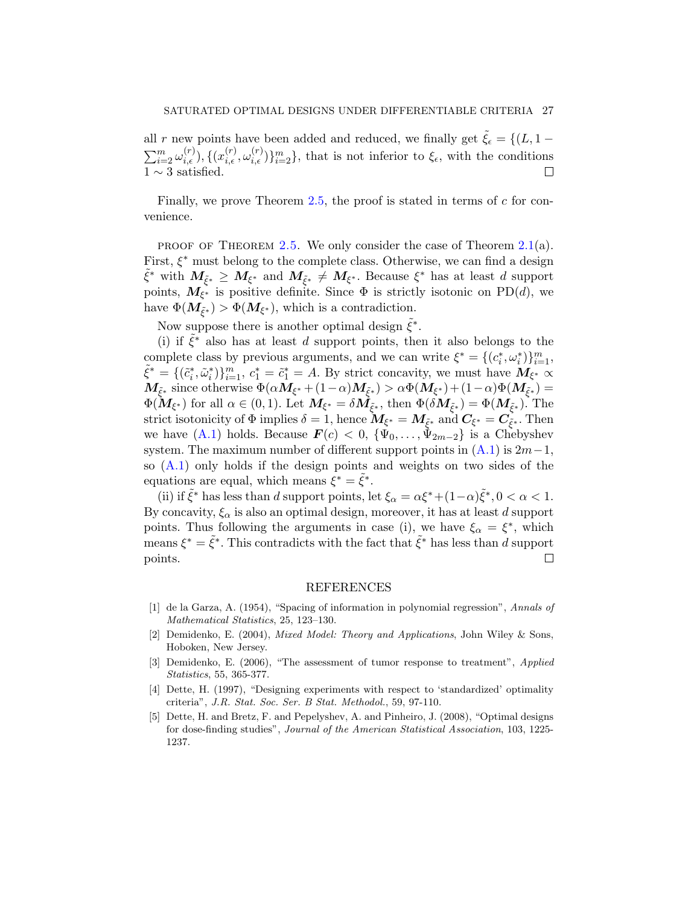all *r* new points have been added and reduced, we finally get  $\tilde{\xi}_\epsilon = \{(L, 1 - \epsilon)\}$  $\sum_{i=2}^m \omega_{i,\epsilon}^{(r)}$ ,  $\{(x_{i,\epsilon}^{(r)}, \omega_{i,\epsilon}^{(r)})\}_{i=2}^m$ , that is not inferior to  $\xi_{\epsilon}$ , with the conditions 1 *∼* 3 satisfied.  $\Box$ 

Finally, we prove Theorem 2.5, the proof is stated in terms of *c* for convenience.

PROOF OF THEOREM 2.5. We only consider the case of Theorem  $2.1(a)$ . First, *ξ ∗* must belong to the complete class. Otherwise, we can find a design  $\tilde{\xi}^*$  with  $M_{\tilde{\xi}^*} \geq M_{\xi^*}$  and  $M_{\tilde{\xi}^*} \neq M_{\xi^*}$ . Because  $\xi^*$  has at least *d* support points,  $M_{\xi^*}$  is positive definite. Since  $\Phi$  is strictly isotonic on PD(*d*), we have  $\Phi(\mathbf{M}_{\tilde{\xi}^*}) > \Phi(\mathbf{M}_{\xi^*})$ , which is a contradiction.

Now suppose there is another optimal design  $\tilde{\xi}^*$ .

(i) if  $\tilde{\xi}^*$  also has at least *d* support points, then it also belongs to the complete class by previous arguments, and we can write  $\xi^* = \{(c_i^*, \omega_i^*)\}_{i=1}^m$ ,  $\tilde{\xi}^* = \{(\tilde{c}_i^*, \tilde{\omega}_i^*)\}_{i=1}^m, c_1^* = \tilde{c}_1^* = A.$  By strict concavity, we must have  $M_{\xi^*} \propto$  $M_{\tilde{\xi}^*}$  since otherwise  $\Phi(\alpha M_{\xi^*} + (1-\alpha)M_{\tilde{\xi}^*}) > \alpha \Phi(M_{\xi^*}) + (1-\alpha) \Phi(M_{\tilde{\xi}^*}) = 0$  $\Phi(\mathbf{M}_{\xi^*})$  for all  $\alpha \in (0,1)$ . Let  $\mathbf{M}_{\xi^*} = \delta \mathbf{M}_{\tilde{\xi}^*}$ , then  $\Phi(\delta \mathbf{M}_{\tilde{\xi}^*}) = \Phi(\mathbf{M}_{\tilde{\xi}^*})$ . The strict isotonicity of  $\Phi$  implies  $\delta = 1$ , hence  $M_{\xi^*} = M_{\tilde{\xi}^*}$  and  $C_{\xi^*} = C_{\tilde{\xi}^*}$ . Then we have  $(A.1)$  holds. Because  $\mathbf{F}(c) < 0$ ,  $\{\Psi_0, \ldots, \Psi_{2m-2}\}$  is a Chebyshev system. The maximum number of different support points in (A.1) is 2*m−*1, so (A.1) only holds if the design points and weights on two sides of the equations are equal, which means  $\xi^* = \tilde{\xi}^*$ .

(ii) if  $\tilde{\xi}^*$  has less than *d* support points, let  $\xi_\alpha = \alpha \xi^* + (1 - \alpha) \tilde{\xi}^*, 0 < \alpha < 1$ . By concavity,  $\xi_{\alpha}$  is also an optimal design, moreover, it has at least *d* support points. Thus following the arguments in case (i), we have  $\xi_{\alpha} = \xi^*$ , which means  $\xi^* = \tilde{\xi}^*$ . This contradicts with the fact that  $\tilde{\xi}^*$  has less than *d* support points.  $\Box$ 

#### REFERENCES

- [1] de la Garza, A. (1954), "Spacing of information in polynomial regression", *Annals of Mathematical Statistics*, 25, 123–130.
- [2] Demidenko, E. (2004), *Mixed Model: Theory and Applications*, John Wiley & Sons, Hoboken, New Jersey.
- [3] Demidenko, E. (2006), "The assessment of tumor response to treatment", *Applied Statistics*, 55, 365-377.
- [4] Dette, H. (1997), "Designing experiments with respect to 'standardized' optimality criteria", *J.R. Stat. Soc. Ser. B Stat. Methodol.*, 59, 97-110.
- [5] Dette, H. and Bretz, F. and Pepelyshev, A. and Pinheiro, J. (2008), "Optimal designs for dose-finding studies", *Journal of the American Statistical Association*, 103, 1225- 1237.